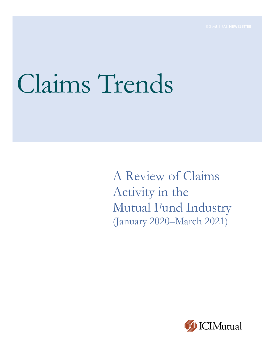# Claims Trends

A Review of Claims Activity in the Mutual Fund Industry (January 2020–March 2021)

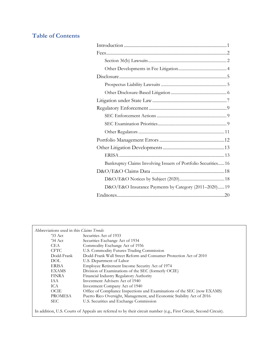### **Table of Contents**

| Bankruptcy Claims Involving Issuers of Portfolio Securities 16 |
|----------------------------------------------------------------|
|                                                                |
|                                                                |
| D&O/E&O Insurance Payments by Category (2011-2020) 19          |
|                                                                |

| Abbreviations used in this Claims Trends:                                                                          |                                                                          |  |
|--------------------------------------------------------------------------------------------------------------------|--------------------------------------------------------------------------|--|
| $33$ Act                                                                                                           | Securities Act of 1933                                                   |  |
| $34$ Act                                                                                                           | Securities Exchange Act of 1934                                          |  |
| CEA                                                                                                                | Commodity Exchange Act of 1936                                           |  |
| <b>CFTC</b>                                                                                                        | U.S. Commodity Futures Trading Commission                                |  |
| Dodd-Frank                                                                                                         | Dodd-Frank Wall Street Reform and Consumer Protection Act of 2010        |  |
| DOL                                                                                                                | U.S. Department of Labor                                                 |  |
| <b>ERISA</b>                                                                                                       | Employee Retirement Income Security Act of 1974                          |  |
| <b>EXAMS</b>                                                                                                       | Division of Examinations of the SEC (formerly OCIE)                      |  |
| <b>FINRA</b>                                                                                                       | Financial Industry Regulatory Authority                                  |  |
| IAA                                                                                                                | Investment Advisers Act of 1940                                          |  |
| ICA                                                                                                                | Investment Company Act of 1940                                           |  |
| OCIE                                                                                                               | Office of Compliance Inspections and Examinations of the SEC (now EXAMS) |  |
| <b>PROMESA</b>                                                                                                     | Puerto Rico Oversight, Management, and Economic Stability Act of 2016    |  |
| SEC.                                                                                                               | U.S. Securities and Exchange Commission                                  |  |
| In addition, U.S. Courts of Appeals are referred to by their circuit number (e.g., First Circuit, Second Circuit). |                                                                          |  |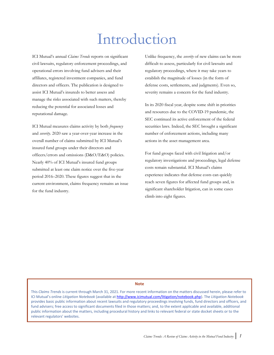## Introduction

<span id="page-2-0"></span>ICI Mutual's annual *Claims Trends* reports on significant civil lawsuits, regulatory enforcement proceedings, and operational errors involving fund advisers and their affiliates, registered investment companies, and fund directors and officers. The publication is designed to assist ICI Mutual's insureds to better assess and manage the risks associated with such matters, thereby reducing the potential for associated losses and reputational damage.

ICI Mutual measures claims activity by both *frequency* and *severity*. 2020 saw a year-over-year increase in the overall number of claims submitted by ICI Mutual's insured fund groups under their directors and officers/errors and omissions (D&O/E&O) policies. Nearly 40% of ICI Mutual's insured fund groups submitted at least one claim notice over the five-year period 2016–2020. These figures suggest that in the current environment, claims frequency remains an issue for the fund industry.

Unlike frequency, the *severity* of new claims can be more difficult to assess, particularly for civil lawsuits and regulatory proceedings, where it may take years to establish the magnitude of losses (in the form of defense costs, settlements, and judgments). Even so, severity remains a concern for the fund industry.

In its 2020 fiscal year, despite some shift in priorities and resources due to the COVID-19 pandemic, the SEC continued its active enforcement of the federal securities laws. Indeed, the SEC brought a significant number of enforcement actions, including many actions in the asset management area.

For fund groups faced with civil litigation and/or regulatory investigations and proceedings, legal defense costs remain substantial. ICI Mutual's claims experience indicates that defense costs can quickly reach seven figures for affected fund groups and, in significant shareholder litigation, can in some cases climb into eight figures.

#### **Note**

This *Claims Trends* is current through March 31, 2021. For more recent information on the matters discussed herein, please refer to ICI Mutual's online *Litigation Notebook* (available at [http://www.icimutual.com/litigation/notebook.php\)](http://www.icimutual.com/litigation/notebook.php). The *Litigation Notebook* provides basic public information about recent lawsuits and regulatory proceedings involving funds, fund directors and officers, and fund advisers; free access to significant documents filed in those matters; and, to the extent applicable and available, additional public information about the matters, including procedural history and links to relevant federal or state docket sheets or to the relevant regulators' websites.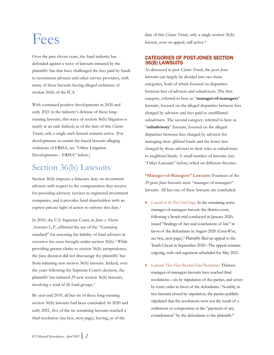## <span id="page-3-0"></span>Fees

Over the past eleven years, the fund industry has defended against a wave of lawsuits initiated by the plaintiffs' bar that have challenged the fees paid by funds to investment advisers and other service providers, with many of these lawsuits having alleged violations of section 36(b) of the ICA.

With continued positive developments in 2020 and early 2021 in the industry's defense of these longrunning lawsuits, this wave of section 36(b) litigation is nearly at an end. Indeed, as of the date of this *Claims Trends*, only a single such lawsuit remains active. (For developments in certain fee-based lawsuits alleging violations of ERISA, see "Other Litigation Developments – ERISA" below.)

### <span id="page-3-1"></span>Section 36(b) Lawsuits

Section 36(b) imposes a fiduciary duty on investment advisers with respect to the compensation they receive for providing advisory services to registered investment companies, and it provides fund shareholders with an express private right of action to enforce this duty.<sup>1</sup>

In 2010, the U.S. Supreme Court, in *Jones v. Harris Associates L.P.*, affirmed the use of the "*Gartenberg* standard" for assessing the liability of fund advisers in excessive fee cases brought under section 36(b).<sup>2</sup> While providing greater clarity to section 36(b) jurisprudence, the *Jones* decision did not discourage the plaintiffs' bar from initiating new section 36(b) lawsuits. Indeed, over the years following the Supreme Court's decision, the plaintiffs' bar initiated 29 new section 36(b) lawsuits, involving a total of 26 fund groups.<sup>3</sup>

By year-end 2019, all but six of these long-running section 36(b) lawsuits had been concluded. In 2020 and early 2021, five of the six remaining lawsuits reached a final resolution (see box, next page), leaving, as of the

date of this *Claims Trends*, only a single section 36(b) lawsuit, now on appeal, still active. 4

#### CATEGORIES OF POST-*JONES* SECTION 36(B) LAWSUITS

As discussed in past *Claims Trends,* the post-*Jones* lawsuits can largely be divided into two basic categories, both of which focused on disparities between fees of advisers and subadvisers. The first category, referred to here as "**manager-of-managers**" lawsuits, focused on the alleged disparities between fees charged by advisers and fees paid to unaffiliated subadvisers. The second category, referred to here as "**subadvisory**" lawsuits, focused on the alleged disparities between fees charged by advisers for managing their *affiliated* funds and the lesser fees charged by those advisers in their roles as subadvisers to *unaffiliated* funds. A small number of lawsuits (see "Other Lawsuits" below) relied on different theories.

**"Manager-of-Managers" Lawsuits:** Fourteen of the 29 post-*Jones* lawsuits were "manager-of-managers" lawsuits. All but one of these lawsuits are concluded.

- *Lawsuit in the Post-Trial Stage:* In the remaining active manager-of-managers lawsuit, the district court, following a bench trial conducted in January 2020, issued "findings of fact and conclusions of law" in favor of the defendants in August 2020 (*Great-West*, see box, next page). <sup>5</sup> Plaintiffs filed an appeal to the Tenth Circuit in September 2020.<sup>6</sup> The appeal remains ongoing, with oral argument scheduled for May 2021.
- *Lawsuits That Have Reached Final Resolutions:* Thirteen manager-of-managers lawsuits have reached final resolutions—six by stipulation of the parties, and seven by court order in favor of the defendants. <sup>7</sup> Notably, in two lawsuits closed by stipulation, the parties publicly stipulated that the resolutions were not the result of a settlement or compromise or the "payment of any consideration" by the defendants to the plaintiffs.8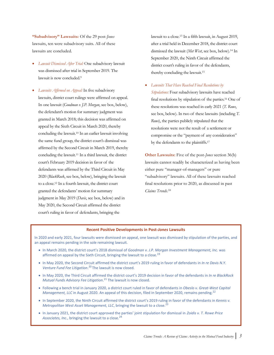**"Subadvisory" Lawsuits:** Of the 29 post-*Jones*  lawsuits, ten were subadvisory suits. All of these lawsuits are concluded.

- *Lawsuit Dismissed After Trial:* One subadvisory lawsuit was dismissed after trial in September 2019. The lawsuit is now concluded. 9
- *Lawsuits Affirmed on Appeal:* In five subadvisory lawsuits, district court rulings were affirmed on appeal. In one lawsuit (*Goodman v. J.P. Morgan*, see box, below), the defendant's motion for summary judgment was granted in March 2018; this decision was affirmed on appeal by the Sixth Circuit in March 2020, thereby concluding the lawsuit. <sup>10</sup> In an earlier lawsuit involving the same fund group, the district court's dismissal was affirmed by the Second Circuit in March 2019, thereby concluding the lawsuit.<sup>11</sup> In a third lawsuit, the district court's February 2019 decision in favor of the defendants was affirmed by the Third Circuit in May 2020 (*BlackRock*, see box, below), bringing the lawsuit to a close. <sup>12</sup> In a fourth lawsuit, the district court granted the defendants' motion for summary judgment in May 2019 (*Davis*, see box, below) and in May 2020, the Second Circuit affirmed the district court's ruling in favor of defendants, bringing the

lawsuit to a close. <sup>13</sup> In a fifth lawsuit, in August 2019, after a trial held in December 2018, the district court dismissed the lawsuit (*Met West*, see box, below). <sup>14</sup> In September 2020, the Ninth Circuit affirmed the district court's ruling in favor of the defendants, thereby concluding the lawsuit.<sup>15</sup>

• *Lawsuits That Have Reached Final Resolutions by Stipulations:* Four subadvisory lawsuits have reached final resolutions by stipulation of the parties.<sup>16</sup> One of these resolutions was reached in early 2021 (*T. Rowe*, see box, below). In two of these lawsuits (including *T. Rowe*), the parties publicly stipulated that the resolutions were not the result of a settlement or compromise or the "payment of any consideration" by the defendants to the plaintiffs.<sup>17</sup>

<span id="page-4-0"></span>**Other Lawsuits:** Five of the post-*Jones* section 36(b) lawsuits cannot readily be characterized as having been either pure "manager-of-managers" or pure "subadvisory" lawsuits. All of these lawsuits reached final resolutions prior to 2020, as discussed in past *Claims Trends*. 18

#### **Recent Positive Developments in Post-***Jones* **Lawsuits**

In 2020 and early 2021, four lawsuits were dismissed on appeal, one lawsuit was dismissed by stipulation of the parties, and an appeal remains pending in the sole remaining lawsuit.

- In March 2020, the district court's 2018 dismissal of *Goodman v. J.P. Morgan Investment Management, Inc.* was affirmed on appeal by the Sixth Circuit, bringing the lawsuit to a close.<sup>[19](#page-4-0)</sup>
- In May 2020, the Second Circuit affirmed the district court's 2019 ruling in favor of defendants in *In re Davis N.Y. Venture Fund Fee Litigation*. [20](#page-4-0) The lawsuit is now closed.
- In May 2020, the Third Circuit affirmed the district court's 2019 decision in favor of the defendants in *In re BlackRock Mutual Funds Advisory Fee Litigation*. <sup>21</sup> The lawsuit is now closed.
- Following a bench trial in January 2020, a district court ruled in favor of defendants in *Obeslo v. Great-West Capital Management, LLC* in August 2020. An appeal of this decision, filed in September 2020, remains pending.<sup>22</sup>
- In September 2020, the Ninth Circuit affirmed the district court's 2019 ruling in favor of the defendants in *Kennis v. Metropolitan West Asset Management, LLC*, bringing the lawsuit to a close.<sup>23</sup>
- In January 2021, the district court approved the parties' joint stipulation for dismissal in *Zoidis v. T. Rowe Price*  Associates, Inc., bringing the lawsuit to a close.<sup>24</sup>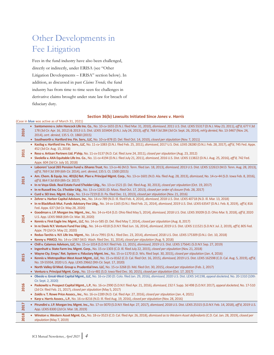## <span id="page-5-0"></span>Other Developments in Fee Litigation

Fees in the fund industry have also been challenged, directly or indirectly, under ERISA (see "Other Litigation Developments – ERISA" section below). In addition, as discussed in past *Claims Trends,* the fund industry has from time to time seen fee challenges in derivative claims brought under state law for breach of fiduciary duty.

#### <span id="page-5-1"></span>**Section 36(b) Lawsuits Initiated Since** *Jones v. Harris*

|      | Section 36(b) Lawsuits initiated Since Jones V. Hurris                                                                                                                        |
|------|-------------------------------------------------------------------------------------------------------------------------------------------------------------------------------|
|      | (Case in blue was active as of March 31, 2021)                                                                                                                                |
|      | • Santomenno v. John Hancock Life Ins. Co., No. 10-cv-1655 (D.N.J. filed Mar. 31, 2010), dismissed, 2011 U.S. Dist. LEXIS 55317 (D.N.J. May 23, 2011), aff'd, 677 F.3d        |
| 2010 | 178 (3d Cir. Apr. 16, 2012) & 2013 U.S. Dist. LEXIS 103404 (D.N.J. July 24, 2013), aff'd, 768 F.3d 284 (3d Cir. Sept. 26, 2014), reh'g denied, No. 13-3467 (Nov. 24,          |
|      | 2014), cert. denied, 135 S. Ct. 1860 (2015)                                                                                                                                   |
|      | • Southworth v. Hartford Inv. Fin. Serv., LLC, No. 10-cv-878 (D. Del. filed Oct. 14, 2010), closed per stipulation (Nov. 7, 2011)                                             |
| 2011 | . Kasilag v. Hartford Inv. Fin. Serv., LLC, No. 11-cv-1083 (D.N.J. filed Feb. 25, 2011), dismissed, 2017 U.S. Dist. LEXIS 28280 (D.N.J. Feb. 28, 2017), aff'd, 745 Fed. Appx. |
|      | 452 (3d Cir. Aug. 15, 2018)                                                                                                                                                   |
|      | • Reso v. Artisan Partners Ltd. P'ship, No. 11-cv-3137 (N.D. Cal. filed June 24, 2011), closed per stipulation (Aug. 23, 2012)                                                |
|      | · Sivolella v. AXA Equitable Life Ins. Co., No. 11-cv-4194 (D.N.J. filed July 21, 2011), dismissed, 2016 U.S. Dist. LEXIS 113822 (D.N.J. Aug. 25, 2016), aff'd, 742 Fed.      |
|      | Appx. 604 (3d Cir. July 10, 2018)                                                                                                                                             |
| 2013 | · Laborers' Local 265 Pension Fund v. iShares Trust, No. 13-cv-46 (M.D. Tenn. filed Jan. 18, 2013), dismissed, 2013 U.S. Dist. LEXIS 122613 (M.D. Tenn. Aug. 28, 2013),       |
|      | aff'd, 769 F.3d 399 (6th Cir. 2014), cert. denied, 135 S. Ct. 1500 (2015)                                                                                                     |
|      | • Am. Chem. & Equip. Inc. 401(k) Ret. Plan v. Principal Mgmt. Corp., No. 13-cv-1601 (N.D. Ala. filed Aug. 28, 2013), dismissed, No. 14-cv-44 (S.D. Iowa Feb. 8, 2016),        |
|      | aff'd, 864 F.3d 859 (8th Cir. 2017)                                                                                                                                           |
|      | • In re Voya Glob. Real Estate Fund S'holder Litig., No. 13-cv-1521 (D. Del. filed Aug. 30, 2013), closed per stipulation (Oct. 19, 2017)                                     |
|      | • In re Russell Inv. Co. S'holder Litig., No. 13-cv-12631 (D. Mass. filed Oct. 17, 2013), closed per order of closure (Feb. 28, 2017)                                         |
|      | • Curd v. SEI Invs. Mgmt. Corp., No. 13-cv-7219 (E.D. Pa. filed Dec. 11, 2013), closed per stipulation (Nov. 21, 2016)                                                        |
|      | • Zehrer v. Harbor Capital Advisors, Inc., No. 14-cv-789 (N.D. III. filed Feb. 4, 2014), dismissed, 2018 U.S. Dist. LEXIS 40718 (N.D. III. Mar. 13, 2018)                     |
|      | . In re BlackRock Mut. Funds Advisory Fee Litig., No. 14-cv-1165 (D.N.J. filed Feb. 21, 2014), dismissed, 2019 U.S. Dist. LEXIS 63547 (D.N.J. Feb. 8, 2019), aff'd, 816       |
|      | Fed. Appx. 637 (3d Cir. May 28, 2020)                                                                                                                                         |
|      | • Goodman v. J.P. Morgan Inv. Mgmt., Inc., No. 14-cv-414 (S.D. Ohio filed May 5, 2014), dismissed, 2018 U.S. Dist. LEXIS 39209 (S.D. Ohio Mar. 9, 2018), aff'd, 2020          |
|      | U.S. App. LEXIS 9868 (6th Cir. Mar. 30, 2020)                                                                                                                                 |
| 2014 | • Kennis v. First Eagle Inv. Mgmt., LLC, No. 14-cv-585 (D. Del. filed May 7, 2014), closed per stipulation (Aug. 8, 2017)                                                     |
|      | . In re Davis N.Y. Venture Fund Fee Litig., No. 14-cv-4318 (S.D.N.Y. filed Jun. 16, 2014), dismissed, 2019 U.S. Dist. LEXIS 111521 (S.D.N.Y. Jul. 2, 2019), aff'd, 805 Fed.   |
|      | Appx. 79 (2d Cir. May 22, 2020)                                                                                                                                               |
|      | • Redus-Tarchis v. N.Y. Life Inv. Mgmt., No. 14-cv-7991 (D.N.J. filed Dec. 23, 2014), dismissed, 2018 U.S. Dist. LEXIS 175309 (D.N.J. Oct. 10, 2018)                          |
|      | • Kenny v. PIMCO, No. 14-cv-1987 (W.D. Wash. filed Dec. 31, 2014), closed per stipulation (Aug. 9, 2018)                                                                      |
|      | . Chill v. Calamos Advisors, LLC, No. 15-cv-1014 (S.D.N.Y. filed Feb. 11, 2015), dismissed, 2019 U.S. Dist. LEXIS 175641 (S.D.N.Y. Sep. 27, 2019)                             |
|      | • Ingenhutt v. State Farm Inv. Mgmt. Corp., No. 15-cv-1303 (C.D. Ill. filed July 22, 2015), closed per stipulation (Nov. 21, 2018)                                            |
|      | • Wayne Cty. Emps.' Ret. System v. Fiduciary Mgmt. Inc., No. 15-cv-1170 (E.D. Wis. filed Sept. 30, 2015), closed per stipulation (Jan. 4, 2016)                               |
| 2015 | • Kennis v. Metropolitan West Asset Mgmt., LLC, No. 15-cv-8162 (C.D. Cal. filed Oct. 16, 2015), dismissed, 2019 U.S. Dist. LEXIS 162598 (C.D. Cal. Aug. 5, 2019), affd,       |
|      | No. 19-55934, 2020 U.S. App. LEXIS 29662 (9th Cir. Sept. 17, 2020)                                                                                                            |
|      | . North Valley GI Med. Group v. Prudential Invs. LLC, No. 15-cv-3268 (D. Md. filed Oct. 30, 2015), closed per stipulation (Feb. 2, 2017)                                      |
|      | • Ventura v. Principal Mgmt. Corp., No. 15-cv-481 (S.D. Iowa filed Dec. 30, 2015), closed per stipulation (Oct. 17, 2017)                                                     |
|      | · Obeslo v. Great-West Capital Mgmt., LLC, No. 16-cv-230 (D. Colo. filed Jan. 29, 2016), dismissed, 2020 U.S. Dist. LEXIS 141198, appeal docketed, No. 20-1310 (10th          |
|      | Cir. Sept. 2, 2020)                                                                                                                                                           |
|      | • Paskowitz v. Prospect Capital Mgmt., L.P., No. 16-cv-2990 (S.D.N.Y. filed Apr. 21, 2016), dismissed, 232 F. Supp. 3d 498 (S.D.N.Y. 2017), appeal docketed, No. 17-510       |
| 2016 | (2d Cir. filed Feb. 21, 2017), closed per stipulation (May 5, 2017)                                                                                                           |
|      | · Zoidis v. T. Rowe Price Assocs., Inc., No. 16-cv-2289 (N.D. Cal. filed Apr. 27, 2016), closed per stipulation (Jan. 4, 2021)                                                |
|      | • Karp v. Harris Assocs., L.P., No. 16-cv-8216 (N.D. III. filed Aug. 19, 2016), closed per stipulation (Nov. 28, 2016)                                                        |
|      | • Pirundini v. J.P. Morgan Inv. Mgmt. Inc., No. 17-cv-3070 (S.D.N.Y. filed Apr. 27, 2017), dismissed, 2018 U.S. Dist. LEXIS 25315 (S.D.N.Y. Feb. 14, 2018), aff'd, 2019 U.S.  |
| 2017 | App. LEXIS 8300 (2d Cir. Mar. 18, 2019)                                                                                                                                       |
|      | · Winston v. Western Asset Mgmt. Co., No. 18-cv-3523 (C.D. Cal. filed Apr. 26, 2018), dismissed as to Western Asset defendants (C.D. Cal. Jan. 28, 2019), closed per          |
| 2018 | stipulation (May 7, 2019)                                                                                                                                                     |
|      |                                                                                                                                                                               |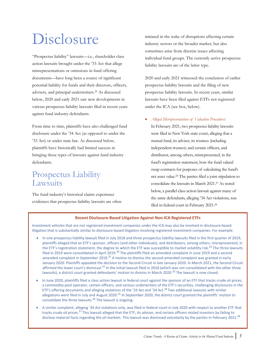## Disclosure

"Prospectus liability" lawsuits—i.e., shareholder class action lawsuits brought under the '33 Act that allege misrepresentations or omissions in fund offering documents—have long been a source of significant potential liability for funds and their directors, officers, advisers, and principal underwriters.<sup>25</sup> As discussed below, 2020 and early 2021 saw new developments in various prospectus liability lawsuits filed in recent years against fund industry defendants.

From time to time, plaintiffs have also challenged fund disclosure under the '34 Act (as opposed to under the '33 Act) or under state law. As discussed below, plaintiffs have historically had limited success in bringing these types of lawsuits against fund industry defendants.

### <span id="page-6-0"></span>Prospectus Liability Lawsuits

The fund industry's historical claims experience evidences that prospectus liability lawsuits are often initiated in the wake of disruptions affecting certain industry sectors or the broader market, but also sometimes arise from discrete issues affecting individual fund groups. The currently active prospectus liability lawsuits are of the latter type.

2020 and early 2021 witnessed the conclusion of earlier prospectus liability lawsuits and the filing of new prospectus liability lawsuits. In recent years, similar lawsuits have been filed against ETFs not registered under the ICA (see box, below).

• *Alleged Misrepresentations of Valuation Procedures:* 

<span id="page-6-1"></span>In February 2021, two prospectus liability lawsuits were filed in New York state court, alleging that a mutual fund, its adviser, its trustees (including independent trustees) and certain officers, and distributor, among others, misrepresented, in the fund's registration statement, how the fund valued swap contracts for purposes of calculating the fund's net asset value.<sup>26</sup> The parties filed a joint stipulation to consolidate the lawsuits in March 2021.<sup>27</sup> As noted below, a parallel class action lawsuit against many of the same defendants, alleging '34 Act violations, was filed in federal court in February 2021.<sup>28</sup>

#### **Recent Disclosure-Based Litigation Against Non-ICA Registered ETFs**

Investment vehicles that are not registered investment companies under the ICA may also be involved in disclosure-based litigation that is substantially similar to disclosure-based litigation involving registered investment companies. For example:

- In one prospectus liability lawsuit filed in July 2018 and three prospectus liability lawsuits filed in the first quarter of 2019, plaintiffs alleged that an ETF's sponsor, officers (and other individuals), and distributors, among others, misrepresented, in the ETF's registration statement, the degree to which the ETF was susceptible to market volatility risk.<sup>[29](#page-6-1)</sup> The three lawsuits filed in 2019 were consolidated in April 2019.[30](#page-6-1) The plaintiffs filed an amended complaint in June 2019 and a second amended complaint in September 2019.<sup>[31](#page-6-1)</sup> A motion to dismiss the second amended complaint was granted in early January 2020. Plaintiffs appealed the decision to the Second Circuit in late January 2020. In March 2021, the Second Circuit affirmed the lower court's dismissal. $32$  In the initial lawsuit filed in 2018 (which was not consolidated with the other three lawsuits), a district court granted defendants' motion to dismiss in March 2020.<sup>[33](#page-6-1)</sup> The lawsuit is now closed.
- In June 2020, plaintiffs filed a class action lawsuit in federal court against the sponsor of an ETF that tracks crude oil prices, a commodity pool operator, certain officers, and various underwriters of the ETF's securities, challenging disclosures in the ETF's offering documents and alleging violations of the '33 Act and '[34](#page-6-1) Act.<sup>34</sup> Two additional lawsuits with similar allegations were filed in July and August 2020.<sup>[35](#page-6-1)</sup> In September 2020, the district court granted the plaintiffs' motion to consolidate the three lawsuits.[36](#page-6-1) The lawsuit is ongoing.
- A similar complaint, alleging '34 Act violations only, was filed in federal court in July 2020 with respect to another ETF that tracks crude oil prices.<sup>[37](#page-6-1)</sup> This lawsuit alleged that the ETF, its adviser, and certain officers misled investors by failing to disclose material facts regarding the oil markets. This lawsuit was dismissed voluntarily by the parties in February 2021.<sup>[38](#page-6-1)</sup>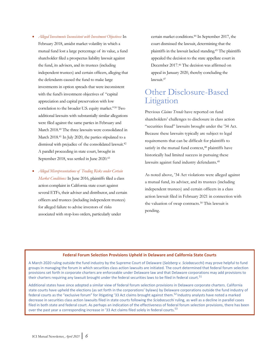- *Alleged Investments Inconsistent with Investment Objectives:* In February 2018, amidst market volatility in which a mutual fund lost a large percentage of its value, a fund shareholder filed a prospectus liability lawsuit against the fund, its advisers, and its trustees (including independent trustees) and certain officers, alleging that the defendants caused the fund to make large investments in option spreads that were inconsistent with the fund's investment objectives of "capital appreciation and capital preservation with low correlation to the broader U.S. equity market."<sup>39</sup> Two additional lawsuits with substantially similar allegations were filed against the same parties in February and March 2018.<sup>40</sup> The three lawsuits were consolidated in March 2018. <sup>41</sup> In July 2020, the parties stipulated to a dismissal with prejudice of the consolidated lawsuit. 42 A parallel proceeding in state court, brought in September 2018, was settled in June 2020.<sup>43</sup>
- *Alleged Misrepresentations of Trading Risks under Certain Market Conditions:* In June 2016, plaintiffs filed a class action complaint in California state court against several ETFs, their adviser and distributor, and certain officers and trustees (including independent trustees) for alleged failure to advise investors of risks associated with stop-loss orders, particularly under

certain market conditions.<sup>44</sup> In September 2017, the court dismissed the lawsuit, determining that the plaintiffs in the lawsuit lacked standing.<sup>45</sup> The plaintiffs appealed the decision to the state appellate court in December 2017.<sup>46</sup> The decision was affirmed on appeal in January 2020, thereby concluding the lawsuit. 47

### <span id="page-7-0"></span>Other Disclosure-Based **Litigation**

Previous *Claims Trends* have reported on fund shareholders' challenges to disclosure in class action "securities fraud" lawsuits brought under the '34 Act. Because these lawsuits typically are subject to legal requirements that can be difficult for plaintiffs to satisfy in the mutual fund context,<sup>48</sup> plaintiffs have historically had limited success in pursuing these lawsuits against fund industry defendants.<sup>49</sup>

<span id="page-7-2"></span><span id="page-7-1"></span>As noted above, '34 Act violations were alleged against a mutual fund, its adviser, and its trustees (including independent trustees) and certain officers in a class action lawsuit filed in February 2021 in connection with the valuation of swap contracts.<sup>50</sup> This lawsuit is pending.

#### **Federal Forum Selection Provisions Upheld in Delaware and California State Courts**

A March 2020 ruling outside the fund industry by the Supreme Court of Delaware (*Salzberg v. Sciabacucchi*) may prove helpful to fund groups in managing the forum in which securities class action lawsuits are initiated. The court determined that federal forum selection provisions set forth in corporate charters are enforceable under Delaware law and that Delaware corporations may add provisions to their charters requiring any lawsuit brought under the federal securities laws to be filed in federal court.<sup>[51](#page-7-2)</sup>

Additional states have since adopted a similar view of federal forum selection provisions in Delaware corporate charters. California state courts have upheld the elections (as set forth in the corporations' bylaws) by Delaware corporations outside the fund industry of federal courts as the "exclusive forum" for litigating '33 Act claims brought against them. [52](#page-7-2) Industry analysts have noted a marked decrease in securities class action lawsuits filed in state courts following the *Sciabacucchi* ruling, as well as a decline in parallel cases filed in both state and federal court. As perhaps an indication of the effectiveness of federal forum selection provisions, there has been over the past year a corresponding increase in '33 Act claims filed solely in federal courts.<sup>53</sup>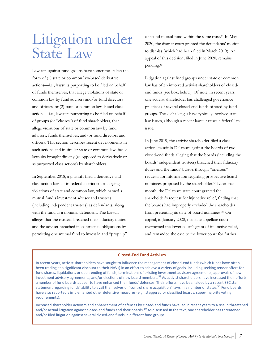## Litigation under State Law

Lawsuits against fund groups have sometimes taken the form of (1) state or common law-based derivative actions—i.e., lawsuits purporting to be filed on behalf of funds themselves, that allege violations of state or common law by fund advisers and/or fund directors and officers, or (2) state or common law–based class actions—i.e., lawsuits purporting to be filed on behalf of groups (or "classes") of fund shareholders, that allege violations of state or common law by fund advisers, funds themselves, and/or fund directors and officers. This section describes recent developments in such actions and in similar state or common law–based lawsuits brought directly (as opposed to derivatively or as purported class actions) by shareholders.

In September 2018, a plaintiff filed a derivative and class action lawsuit in federal district court alleging violations of state and common law, which named a mutual fund's investment adviser and trustees (including independent trustees) as defendants, along with the fund as a nominal defendant. The lawsuit alleges that the trustees breached their fiduciary duties and the adviser breached its contractual obligations by permitting one mutual fund to invest in and "prop up" a second mutual fund within the same trust.<sup>54</sup> In May 2020, the district court granted the defendants' motion to dismiss (which had been filed in March 2019). An appeal of this decision, filed in June 2020, remains pending.<sup>55</sup>

Litigation against fund groups under state or common law has often involved activist shareholders of closedend funds (see box, below). Of note, in recent years, one activist shareholder has challenged governance practices of several closed-end funds offered by fund groups. These challenges have typically involved state law issues, although a recent lawsuit raises a federal law issue.

<span id="page-8-0"></span>In June 2019, the activist shareholder filed a class action lawsuit in Delaware against the boards of two closed-end funds alleging that the boards (including the boards' independent trustees) breached their fiduciary duties and the funds' bylaws through "onerous" requests for information regarding prospective board nominees proposed by the shareholder. <sup>56</sup> Later that month, the Delaware state court granted the shareholder's request for injunctive relief, finding that the boards had improperly excluded the shareholder from presenting its slate of board nominees. <sup>57</sup> On appeal, in January 2020, the state appellate court overturned the lower court's grant of injunctive relief, and remanded the case to the lower court for further

#### **Closed-End Fund Activism**

In recent years, activist shareholders have sought to influence the management of closed-end funds (which funds have often been trading at a significant discount to their NAVs) in an effort to achieve a variety of goals, including seeking tender offers for fund shares, liquidations or open-ending of funds, terminations of existing investment advisory agreements, approvals of new investment advisory agreements, and/or elections of new board members.<sup>[58](#page-8-0)</sup> As activist shareholders have increased their efforts, a number of fund boards appear to have enhanced their funds' defenses. Their efforts have been aided by a recent SEC staff statement regarding funds' ability to avail themselves of "control share acquisition" laws in a number of states.<sup>[59](#page-8-0)</sup> Fund boards have also reportedly implemented other defensive measures (e.g., staggered or classified boards, super-majority voting requirements).

Increased shareholder activism and enhancement of defenses by closed-end funds have led in recent years to a rise in threatened and/or actual litigation against closed-end funds and their boards.<sup>[60](#page-8-0)</sup> As discussed in the text, one shareholder has threatened and/or filed litigation against several closed-end funds in different fund groups.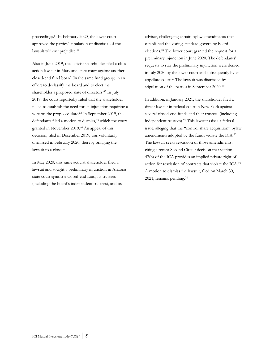proceedings.<sup>61</sup> In February 2020, the lower court approved the parties' stipulation of dismissal of the lawsuit without prejudice.<sup>62</sup>

Also in June 2019, the activist shareholder filed a class action lawsuit in Maryland state court against another closed-end fund board (in the same fund group) in an effort to declassify the board and to elect the shareholder's proposed slate of directors. <sup>63</sup> In July 2019, the court reportedly ruled that the shareholder failed to establish the need for an injunction requiring a vote on the proposed slate. <sup>64</sup> In September 2019, the defendants filed a motion to dismiss,<sup>65</sup> which the court granted in November 2019. <sup>66</sup> An appeal of this decision, filed in December 2019, was voluntarily dismissed in February 2020, thereby bringing the lawsuit to a close.<sup>67</sup>

In May 2020, this same activist shareholder filed a lawsuit and sought a preliminary injunction in Arizona state court against a closed-end fund, its trustees (including the board's independent trustees), and its

adviser, challenging certain bylaw amendments that established the voting standard governing board elections.<sup>68</sup> The lower court granted the request for a preliminary injunction in June 2020. The defendants' requests to stay the preliminary injunction were denied in July 2020 by the lower court and subsequently by an appellate court.<sup>69</sup> The lawsuit was dismissed by stipulation of the parties in September 2020.<sup>70</sup>

In addition, in January 2021, the shareholder filed a direct lawsuit in federal court in New York against several closed-end funds and their trustees (including independent trustees). <sup>71</sup> This lawsuit raises a federal issue, alleging that the "control share acquisition" bylaw amendments adopted by the funds violate the ICA.<sup>72</sup> The lawsuit seeks rescission of those amendments, citing a recent Second Circuit decision that section 47(b) of the ICA provides an implied private right of action for rescission of contracts that violate the ICA. 73 A motion to dismiss the lawsuit, filed on March 30, 2021, remains pending.74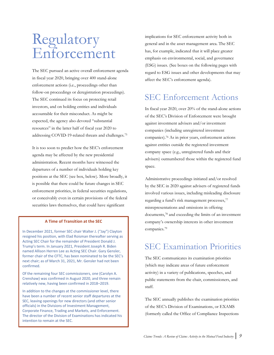## <span id="page-10-0"></span>Regulatory Enforcement

The SEC pursued an active overall enforcement agenda in fiscal year 2020, bringing over 400 stand-alone enforcement actions (i.e., proceedings other than follow-on proceedings or deregistration proceedings). The SEC continued its focus on protecting retail investors, and on holding entities and individuals accountable for their misconduct. As might be expected, the agency also devoted "substantial resources" in the latter half of fiscal year 2020 to addressing COVID-19-related threats and challenges.<sup>75</sup>

It is too soon to predict how the SEC's enforcement agenda may be affected by the new presidential administration. Recent months have witnessed the departures of a number of individuals holding key positions at the SEC (see box, below). More broadly, it is possible that there could be future changes in SEC enforcement priorities, in federal securities regulations, or conceivably even in certain provisions of the federal securities laws themselves, that could have significant

#### **A Time of Transition at the SEC**

In December 2021, former SEC chair Walter J. ("Jay") Clayton resigned his position, with Elad Roisman thereafter serving as Acting SEC Chair for the remainder of President Donald J. Trump's term. In January 2021, President Joseph R. Biden named Allison Herren Lee as Acting SEC Chair. Gary Gensler, former chair of the CFTC, has been nominated to be the SEC's next chair; as of March 31, 2021, Mr. Gensler had not been confirmed.

Of the remaining four SEC commissioners, one (Carolyn A. Crenshaw) was confirmed in August 2020, and three remain relatively new, having been confirmed in 2018–2019.

In addition to the changes at the commissioner level, there have been a number of recent senior staff departures at the SEC, leaving openings for new directors (and other senior officials) in the Divisions of Investment Management, Corporate Finance, Trading and Markets, and Enforcement. The director of the Division of Examinations has indicated his intention to remain at the SEC.

implications for SEC enforcement activity both in general and in the asset management area. The SEC has, for example, indicated that it will place greater emphasis on environmental, social, and governance (ESG) issues. (See boxes on the following pages with regard to ESG issues and other developments that may affect the SEC's enforcement agenda).

### <span id="page-10-1"></span>**SEC Enforcement Actions**

In fiscal year 2020, over 20% of the stand-alone actions of the SEC's Division of Enforcement were brought against investment advisers and/or investment companies (including unregistered investment companies). <sup>76</sup> As in prior years, enforcement actions against entities outside the registered investment company space (e.g., unregistered funds and their advisers) outnumbered those within the registered fund space.

Administrative proceedings initiated and/or resolved by the SEC in 2020 against advisers of registered funds involved various issues, including misleading disclosure regarding a fund's risk management processes,<sup>77</sup> misrepresentations and omissions in offering documents, <sup>78</sup> and exceeding the limits of an investment company's ownership interests in other investment companies. 79

### <span id="page-10-2"></span>SEC Examination Priorities

The SEC communicates its examination priorities (which may indicate areas of future enforcement activity) in a variety of publications, speeches, and public statements from the chair, commissioners, and staff.

The SEC annually publishes the examination priorities of the SEC's Division of Examinations, or EXAMS (formerly called the Office of Compliance Inspections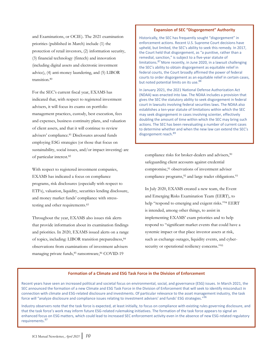and Examinations, or OCIE). The 2021 examination priorities (published in March) include (1) the protection of retail investors, (2) information security, (3) financial technology (fintech) and innovation (including digital assets and electronic investment advice), (4) anti-money laundering, and (5) LIBOR transition. 80

For the SEC's current fiscal year, EXAMS has indicated that, with respect to registered investment advisers, it will focus its exams on portfolio management practices, custody, best execution, fees and expenses, business continuity plans, and valuation of client assets, and that it will continue to review advisers' compliance. <sup>81</sup> Disclosures around funds employing ESG strategies (or those that focus on sustainability, social issues, and/or impact investing) are of particular interest.<sup>82</sup>

With respect to registered investment companies, EXAMS has indicated a focus on compliance programs, risk disclosures (especially with respect to ETFs), valuation, liquidity, securities lending disclosure, and money market funds' compliance with stresstesting and other requirements. 83

Throughout the year, EXAMS also issues risk alerts that provide information about its examination findings and priorities. In 2020, EXAMS issued alerts on a range of topics, including: LIBOR transition preparedness, 84 observations from examinations of investment advisers managing private funds, <sup>85</sup> ransomware, <sup>86</sup> COVID-19

#### **Expansion of SEC "Disgorgement" Authority**

Historically, the SEC has frequently sought "disgorgement" in enforcement actions. Recent U.S. Supreme Court decisions have upheld, but limited, the SEC's ability to seek this remedy. In 2017, the Court held that disgorgement, as "a punitive, rather than a remedial, sanction," is subject to a five-year statute of limitations.[87](#page-11-0) More recently, in June 2020, in a lawsuit challenging the SEC's ability to obtain disgorgement as equitable relief in federal courts, the Court broadly affirmed the power of federal courts to order disgorgement as an equitable relief in certain cases, but noted potential limits on its use.<sup>[88](#page-11-0)</sup>

In January 2021, the 2021 National Defense Authorization Act (NDAA) was enacted into law. The NDAA includes a provision that gives the SEC the statutory ability to seek disgorgement in federal court in lawsuits involving federal securities laws. The NDAA also establishes a ten-year statute of limitations within which the SEC may seek disgorgement in cases involving scienter, effectively doubling the amount of time within which the SEC may bring such actions. The SEC has been reevaluating a number of current cases to determine whether and when the new law can extend the SEC's disgorgement reach. [89](#page-11-0)

<span id="page-11-0"></span>compliance risks for broker-dealers and advisers,<sup>90</sup> safeguarding client accounts against credential compromise,<sup>91</sup> observations of investment adviser compliance programs, <sup>92</sup> and large trader obligations. 93

<span id="page-11-1"></span>In July 2020, EXAMS created a new team, the Event and Emerging Risks Examination Team (EERT), to help "respond to emerging and exigent risks." <sup>94</sup> EERT is intended, among other things, to assist in implementing EXAMS' exam priorities and to help respond to "significant market events that could have a systemic impact or that place investor assets at risk, such as exchange outages, liquidity events, and cybersecurity or operational resiliency concerns."95

#### **Formation of a Climate and ESG Task Force in the Division of Enforcement**

Recent years have seen an increased political and societal focus on environmental, social, and governance (ESG) issues. In March 2021, the SEC announced the formation of a new Climate and ESG Task Force in the Division of Enforcement that will seek to identify misconduct in connection with climate and ESG-related disclosure and investments. Of particular relevance to the asset management industry, the task force will "analyze disclosure and compliance issues relating to investment advisers' and funds' ESG strategies."[96](#page-11-1)

Industry observers note that the task force is expected, at least initially, to focus on compliance with existing rules governing disclosure, and that the task force's work may inform future ESG-related rulemaking initiatives. The formation of the task force appears to signal an enhanced focus on ESG matters, which could lead to increased SEC enforcement activity even in the absence of new ESG-related regulatory requirements. [97](#page-11-1)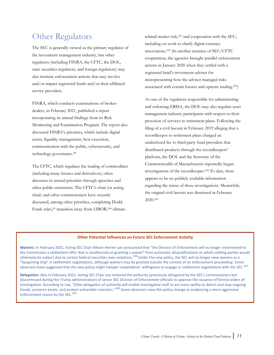### <span id="page-12-0"></span>Other Regulators

The SEC is generally viewed as the primary regulator of the investment management industry, but other regulators (including FINRA, the CFTC, the DOL, state securities regulators, and foreign regulators) may also institute enforcement actions that may involve and/or impact registered funds and/or their affiliated service providers.

FINRA, which conducts examinations of brokerdealers, in February 2021, published a report incorporating its annual findings from its Risk Monitoring and Examination Program. The report also discussed FINRA's priorities, which include digital assets, liquidity management, best execution, communication with the public, cybersecurity, and technology governance.<sup>98</sup>

The CFTC, which regulates the trading of commodities (including many futures and derivatives), often discusses its annual priorities through speeches and other public statements. The CFTC's chair (or acting chair) and other commissioners have recently discussed, among other priorities, completing Dodd-Frank rules,<sup>99</sup> transition away from LIBOR,<sup>100</sup> climate-

related market risk, <sup>101</sup> and cooperation with the SEC, including on work to clarify digital currency innovations. <sup>102</sup> (In another instance of SEC/CFTC cooperation, the agencies brought parallel enforcement actions in January 2020 when they settled with a registered fund's investment adviser for misrepresenting how the adviser managed risks associated with certain futures and options trading.103)

As one of the regulators responsible for administering and enforcing ERISA, the DOL may also regulate asset management industry participants with respect to their provision of services to retirement plans. Following the filing of a civil lawsuit in February 2019 alleging that a recordkeeper to retirement plans charged an undisclosed fee to third-party fund providers that distributed products through the recordkeepers' platform, the DOL and the Secretary of the Commonwealth of Massachusetts reportedly began investigations of the recordkeeper.<sup>104</sup> To date, there appears to be no publicly available information regarding the status of these investigations. Meanwhile, the original civil lawsuit was dismissed in February 2020. 105

#### <span id="page-12-1"></span>**Other Potential Influences on Future SEC Enforcement Activity**

**Waivers:** In February 2021, Acting SEC Chair Allison Herren Lee announced that "the Division of Enforcement will no longer recommend to the Commission a settlement offer that is conditioned on granting a waiver" from automatic disqualifications to which settling parties would otherwise be subject due to certain federal securities laws violations.<sup>[106](#page-12-1)</sup> Under the new policy, the SEC will no longer view waivers as a "bargaining chip" in settlement negotiations, although waivers may be granted outside the context of an enforcement proceeding. Some observers have suggested that the new policy might hamper respondents' willingness to engage in settlement negotiations with the SEC.<sup>[107](#page-12-1)</sup>

**Delegation:** Also in February 2021, Acting SEC Chair Lee restored the authority (previously delegated by the SEC's commissioners but discontinued during the Trump administration) of senior SEC Division of Enforcement officials to approve the issuance of formal orders of investigation. According to Lee, "[t]his delegation of authority will enable investigative staff to act more swiftly to detect and stop ongoing frauds, preserve assets, and protect vulnerable investors."<sup>[108](#page-12-1)</sup> Some observers view this policy change as evidencing a more aggressive enforcement stance by the SEC.<sup>[109](#page-12-1)</sup>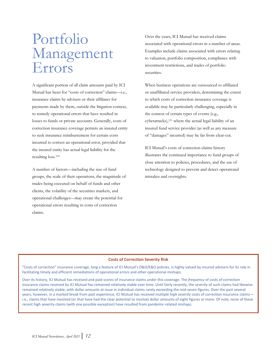## <span id="page-13-0"></span>Portfolio Management Errors

A significant portion of all claim amounts paid by ICI Mutual has been for "costs of correction" claims—i.e., insurance claims by advisers or their affiliates for payments made by them, outside the litigation context, to remedy operational errors that have resulted in losses to funds or private accounts. Generally, costs of correction insurance coverage permits an insured entity to seek insurance reimbursement for certain costs incurred to correct an operational error, provided that the insured entity has actual legal liability for the resulting loss.<sup>110</sup>

A number of factors—including the size of fund groups, the scale of their operations, the magnitude of trades being executed on behalf of funds and other clients, the volatility of the securities markets, and operational challenges—may create the potential for operational errors resulting in costs of correction claims.

Over the years, ICI Mutual has received claims associated with operational errors in a number of areas. Examples include claims associated with errors relating to valuation, portfolio composition, compliance with investment restrictions, and trades of portfolio securities.

When business operations are outsourced to affiliated or unaffiliated service providers, determining the extent to which costs of correction insurance coverage is available may be particularly challenging, especially in the context of certain types of events (e.g., cyberattacks), <sup>111</sup> where the actual legal liability of an insured fund service provider (as well as any measure of "damages" incurred) may be far from clear-cut.

<span id="page-13-1"></span>ICI Mutual's costs of correction claims history illustrates the continued importance to fund groups of close attention to policies, procedures, and the use of technology designed to prevent and detect operational mistakes and oversights.

#### **Costs of Correction Severity Risk**

"Costs of correction" insurance coverage, long a feature of ICI Mutual's D&O/E&O policies, is highly valued by insured advisers for its role in facilitating timely and efficient remediations of operational errors and other operational mishaps.

Over its history, ICI Mutual has received and paid scores of insurance claims under this coverage. The *frequency* of costs of correction insurance claims received by ICI Mutual has remained relatively stable over time. Until fairly recently, the *severity* of such claims had likewise remained relatively stable, with dollar amounts at issue in individual claims rarely exceeding the mid-seven figures. Over the past several years, however, in a marked break from past experience, ICI Mutual has received multiple *high severity* costs of correction insurance claims i.e., claims that have involved (or that have had the clear potential to involve) dollar amounts of eight figures or more. Of note, none of these recent high severity claims (with one possible exception) have resulted from pandemic-related mishaps.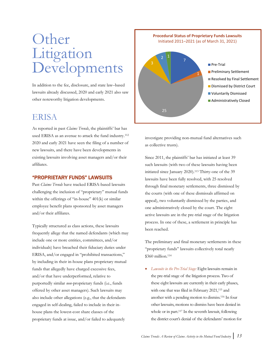## Other Litigation Developments

In addition to the fee, disclosure, and state law–based lawsuits already discussed, 2020 and early 2021 also saw other noteworthy litigation developments.

### <span id="page-14-0"></span>ERISA

As reported in past *Claims Trends*, the plaintiffs' bar has used ERISA as an avenue to attack the fund industry.<sup>112</sup> 2020 and early 2021 have seen the filing of a number of new lawsuits, and there have been developments in existing lawsuits involving asset managers and/or their affiliates.

#### "PROPRIETARY FUNDS" LAWSUITS

Past *Claims Trends* have tracked ERISA-based lawsuits challenging the inclusion of "proprietary" mutual funds within the offerings of "in-house" 401(k) or similar employee benefit plans sponsored by asset managers and/or their affiliates.

Typically structured as class actions, these lawsuits frequently allege that the named defendants (which may include one or more entities, committees, and/or individuals) have breached their fiduciary duties under ERISA, and/or engaged in "prohibited transactions," by including in their in-house plans proprietary mutual funds that allegedly have charged excessive fees, and/or that have underperformed, relative to purportedly similar *non*-proprietary funds (i.e., funds offered by other asset managers). Such lawsuits may also include other allegations (e.g., that the defendants engaged in self-dealing, failed to include in their inhouse plans the lowest-cost share classes of the proprietary funds at issue, and/or failed to adequately



<span id="page-14-1"></span>investigate providing non-mutual fund alternatives such as collective trusts).

Since 2011, the plaintiffs' bar has initiated at least 39 such lawsuits (with two of these lawsuits having been initiated since January 2020).<sup>113</sup> Thirty-one of the 39 lawsuits have been fully resolved, with 25 resolved through final monetary settlements, three dismissed by the courts (with one of these dismissals affirmed on appeal), two voluntarily dismissed by the parties, and one administratively closed by the court. The eight active lawsuits are in the pre-trial stage of the litigation process. In one of these, a settlement in principle has been reached.

<span id="page-14-2"></span>The preliminary and final monetary settlements in these "proprietary funds" lawsuits collectively total nearly \$360 million.<sup>114</sup>

• *Lawsuits in the Pre-Trial Stage:* Eight lawsuits remain in the pre-trial stage of the litigation process. Two of these eight lawsuits are currently in their early phases, with one that was filed in February 2021,<sup>115</sup> and another with a pending motion to dismiss. <sup>116</sup> In four other lawsuits, motions to dismiss have been denied in whole or in part.<sup>117</sup> In the seventh lawsuit, following the district court's denial of the defendants' motion for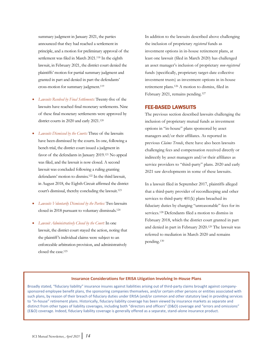summary judgment in January 2021, the parties announced that they had reached a settlement in principle, and a motion for preliminary approval of the settlement was filed in March 2021.<sup>118</sup> In the eighth lawsuit, in February 2021, the district court denied the plaintiffs' motion for partial summary judgment and granted in part and denied in part the defendants' cross-motion for summary judgment.<sup>119</sup>

- *Lawsuits Resolved by Final Settlements:* Twenty-five of the lawsuits have reached final monetary settlements. Nine of these final monetary settlements were approved by district courts in 2020 and early 2021.<sup>120</sup>
- *Lawsuits Dismissed by the Courts:* Three of the lawsuits have been dismissed by the courts. In one, following a bench trial, the district court issued a judgment in favor of the defendants in January 2019.<sup>121</sup> No appeal was filed, and the lawsuit is now closed. A second lawsuit was concluded following a ruling granting defendants' motion to dismiss.<sup>122</sup> In the third lawsuit, in August 2018, the Eighth Circuit affirmed the district court's dismissal, thereby concluding the lawsuit.<sup>123</sup>
- *Lawsuits Voluntarily Dismissed by the Parties:* Two lawsuits closed in 2018 pursuant to voluntary dismissals.<sup>124</sup>
- *Lawsuit Administratively Closed by the Court:* In one lawsuit, the district court stayed the action, noting that the plaintiff's individual claims were subject to an enforceable arbitration provision, and administratively closed the case.<sup>125</sup>

In addition to the lawsuits described above challenging the inclusion of proprietary *registered* funds as investment options in in-house retirement plans, at least one lawsuit (filed in March 2020) has challenged an asset manager's inclusion of proprietary *non-registered* funds (specifically, proprietary target-date collective investment trusts) as investment options in in-house retirement plans.<sup>126</sup> A motion to dismiss, filed in February 2021, remains pending.<sup>127</sup>

#### FEE-BASED LAWSUITS

The previous section described lawsuits challenging the inclusion of proprietary mutual funds as investment options in "in-house" plans sponsored by asset managers and/or their affiliates. As reported in previous *Claims Trends*, there have also been lawsuits challenging fees and compensation received directly or indirectly by asset managers and/or their affiliates as service providers to "third-party" plans. 2020 and early 2021 saw developments in some of these lawsuits.

In a lawsuit filed in September 2017, plaintiffs alleged that a third-party provider of recordkeeping and other services to third-party 401(k) plans breached its fiduciary duties by charging "unreasonable" fees for its services.<sup>128</sup> Defendants filed a motion to dismiss in February 2018, which the district court granted in part and denied in part in February 2020.<sup>129</sup> The lawsuit was referred to mediation in March 2020 and remains pending. 130

#### **Insurance Considerations for ERISA Litigation Involving In-House Plans**

Broadly stated, "fiduciary liability" insurance insures against liabilities arising out of third-party claims brought against companysponsored employee benefit plans, the sponsoring companies themselves, and/or certain other persons or entities associated with such plans, by reason of their breach of fiduciary duties under ERISA (and/or common and other statutory law) in providing services to "in-house" retirement plans. Historically, fiduciary liability coverage has been viewed by insurance markets as separate and distinct from other types of liability coverages, including both "directors and officers" (D&O) coverage and "errors and omissions" (E&O) coverage. Indeed, fiduciary liability coverage is generally offered as a separate, stand-alone insurance product.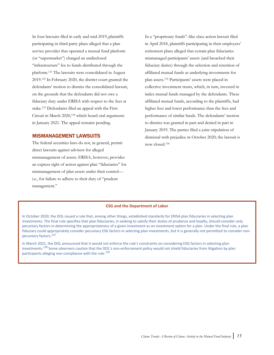In four lawsuits filed in early and mid-2019, plaintiffs participating in third-party plans alleged that a plan service provider that operated a mutual fund platform (or "supermarket") charged an undisclosed "infrastructure" fee to funds distributed through the platform.<sup>131</sup> The lawsuits were consolidated in August 2019. <sup>132</sup> In February 2020, the district court granted the defendants' motion to dismiss the consolidated lawsuit, on the grounds that the defendants did not owe a fiduciary duty under ERISA with respect to the fees at stake. <sup>133</sup> Defendants filed an appeal with the First Circuit in March 2020, <sup>134</sup> which heard oral arguments in January 2021. The appeal remains pending.

#### MISMANAGEMENT LAWSUITS

The federal securities laws do not, in general, permit direct lawsuits against advisers for alleged mismanagement of assets. ERISA, however, provides an express right of action against plan "fiduciaries" for mismanagement of plan assets under their control i.e., for failure to adhere to their duty of "prudent management."

In a "proprietary funds"–like class action lawsuit filed in April 2018, plaintiffs participating in their employers' retirement plans alleged that certain plan fiduciaries mismanaged participants' assets (and breached their fiduciary duties) through the selection and retention of affiliated mutual funds as underlying investments for plan assets.<sup>135</sup> Participants' assets were placed in collective investment trusts, which, in turn, invested in index mutual funds managed by the defendants. These affiliated mutual funds, according to the plaintiffs, had higher fees and lower performance than the fees and performance of similar funds. The defendants' motion to dismiss was granted in part and denied in part in January 2019. The parties filed a joint stipulation of dismissal with prejudice in October 2020; the lawsuit is now closed.<sup>136</sup>

#### <span id="page-16-1"></span><span id="page-16-0"></span>**ESG and the Department of Labor**

In October 2020, the DOL issued a rule that, among other things, established standards for ERISA plan fiduciaries in selecting plan investments. The final rule specifies that plan fiduciaries, in seeking to satisfy their duties of prudence and loyalty, should consider only pecuniary factors in determining the appropriateness of a given investment as an investment option for a plan. Under the final rule, a plan fiduciary could appropriately consider pecuniary ESG factors in selecting plan investments, but it is generally not permitted to consider nonpecuniary factors.<sup>137</sup>

In March 2021, the DOL announced that it would not enforce the rule's constraints on considering ESG factors in selecting plan investments.<sup>138</sup> Some observers caution that the DOL's non-enforcement policy would not shield fiduciaries from litigation by plan participants alleging non-compliance with the rule.<sup>139</sup>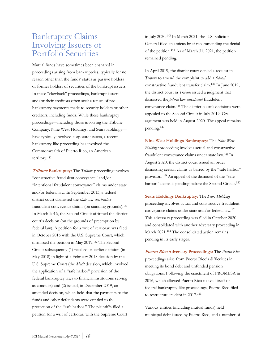### Bankruptcy Claims Involving Issuers of Portfolio Securities

Mutual funds have sometimes been ensnared in proceedings arising from bankruptcies, typically for no reason other than the funds' status as passive holders or former holders of securities of the bankrupt issuers. In these "clawback" proceedings, bankrupt issuers and/or their creditors often seek a return of prebankruptcy payments made to security holders or other creditors, including funds. While these bankruptcy proceedings—including those involving the Tribune Company, Nine West Holdings, and Sears Holdings have typically involved corporate issuers, a recent bankruptcy-like proceeding has involved the Commonwealth of Puerto Rico, an American territory.<sup>140</sup>

**Tribune Bankruptcy:** The *Tribune* proceeding involves "constructive fraudulent conveyance" and/or "intentional fraudulent conveyance" claims under state and/or federal law. In September 2013, a federal district court dismissed the *state* law *constructive* fraudulent conveyance claims (on standing grounds).<sup>141</sup> In March 2016, the Second Circuit affirmed the district court's decision (on the grounds of preemption by federal law). A petition for a writ of certiorari was filed in October 2016 with the U.S. Supreme Court, which dismissed the petition in May 2019.<sup>142</sup> The Second Circuit subsequently (1) recalled its earlier decision (in May 2018) in light of a February 2018 decision by the U.S. Supreme Court (the *Merit* decision, which involved the application of a "safe harbor" provision of the federal bankruptcy laws to financial institutions serving as conduits) and (2) issued, in December 2019, an amended decision, which held that the payments to the funds and other defendants were entitled to the protection of the "safe harbor." The plaintiffs filed a petition for a writ of certiorari with the Supreme Court

in July 2020.<sup>143</sup> In March 2021, the U.S. Solicitor General filed an amicus brief recommending the denial of the petition.<sup>144</sup> As of March 31, 2021, the petition remained pending.

In April 2019, the district court denied a request in *Tribune* to amend the complaint to add a *federal*  constructive fraudulent transfer claim.<sup>145</sup> In June 2019, the district court in *Tribune* issued a judgment that dismissed the *federal* law *intentional* fraudulent conveyance claim.<sup>146</sup> The district court's decisions were appealed to the Second Circuit in July 2019. Oral argument was held in August 2020. The appeal remains pending.<sup>147</sup>

**Nine West Holdings Bankruptcy:** The *Nine West Holdings* proceeding involves actual and constructive fraudulent conveyance claims under state law. <sup>148</sup> In August 2020, the district court issued an order dismissing certain claims as barred by the "safe harbor" provision.<sup>149</sup> An appeal of the dismissal of the "safe harbor" claims is pending before the Second Circuit.<sup>150</sup>

**Sears Holdings Bankruptcy:** The *Sears Holdings* proceeding involves actual and constructive fraudulent conveyance claims under state and/or federal law.<sup>151</sup> This adversary proceeding was filed in October 2020 and consolidated with another adversary proceeding in March 2021. <sup>152</sup> The consolidated action remains pending in its early stages.

**Puerto Rico Adversary Proceedings:** The *Puerto Rico* proceedings arise from Puerto Rico's difficulties in meeting its bond debt and unfunded pension obligations. Following the enactment of PROMESA in 2016, which allowed Puerto Rico to avail itself of federal bankruptcy-like proceedings, Puerto Rico filed to restructure its debt in  $2017$ .<sup>153</sup>

Various entities (including mutual funds) held municipal debt issued by Puerto Rico, and a number of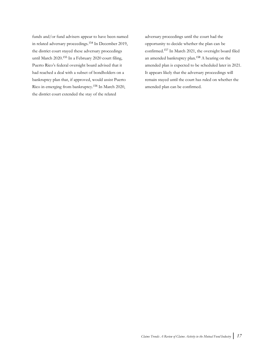<span id="page-18-0"></span>funds and/or fund advisers appear to have been named in related adversary proceedings.<sup>154</sup> In December 2019, the district court stayed these adversary proceedings until March 2020.<sup>155</sup> In a February 2020 court filing, Puerto Rico's federal oversight board advised that it had reached a deal with a subset of bondholders on a bankruptcy plan that, if approved, would assist Puerto Rico in emerging from bankruptcy.<sup>156</sup> In March 2020, the district court extended the stay of the related

adversary proceedings until the court had the opportunity to decide whether the plan can be confirmed. <sup>157</sup> In March 2021, the oversight board filed an amended bankruptcy plan.<sup>158</sup> A hearing on the amended plan is expected to be scheduled later in 2021. It appears likely that the adversary proceedings will remain stayed until the court has ruled on whether the amended plan can be confirmed.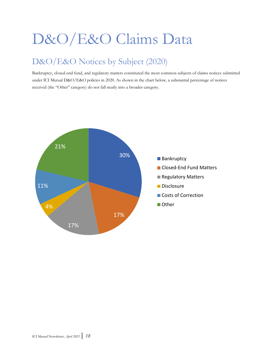## <span id="page-19-0"></span>D&O/E&O Claims Data

## <span id="page-19-1"></span>D&O/E&O Notices by Subject (2020)

Bankruptcy, closed-end fund, and regulatory matters constituted the most common subjects of claims notices submitted under ICI Mutual D&O/E&O policies in 2020. As shown in the chart below, a substantial percentage of notices received (the "Other" category) do not fall neatly into a broader category.

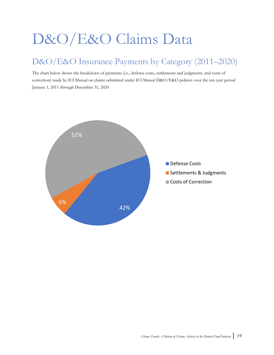## D&O/E&O Claims Data

### <span id="page-20-0"></span>D&O/E&O Insurance Payments by Category (2011–2020)

The chart below shows the breakdown of payments (i.e., defense costs, settlements and judgments, and costs of correction) made by ICI Mutual on claims submitted under ICI Mutual D&O/E&O policies over the ten-year period January 1, 2011 through December 31, 2020.

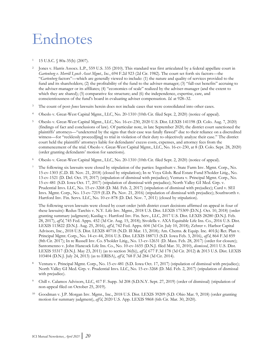## <span id="page-21-0"></span>**Endnotes**

- 15 U.S.C. § 80a-35(b) (2007).
- 2 Jones v. Harris Assocs. L.P., 559 U.S. 335 (2010). This standard was first articulated by a federal appellate court in *Gartenberg v. Merrill Lynch Asset Mgmt., Inc.*, 694 F.2d 923 (2d Cir. 1982). The court set forth six factors—the "*Gartenberg* factors"—which are generally viewed to include: (1) the nature and quality of services provided to the fund and its shareholders; (2) the profitability of the fund to the adviser-manager; (3) "fall-out benefits" accruing to the adviser-manager or its affiliates; (4) "economies of scale" realized by the adviser-manager (and the extent to which they are shared); (5) comparative fee structure; and (6) the independence, expertise, care, and conscientiousness of the fund's board in evaluating adviser compensation. *Id.* at 928–32.
- <sup>3</sup> The count of post-*Jones* lawsuits herein does not include cases that were consolidated into other cases.
- <sup>4</sup> Obeslo v. Great-West Capital Mgmt., LLC, No. 20-1310 (10th Cir. filed Sept. 2, 2020) (notice of appeal).
- <sup>5</sup> Obeslo v. Great-West Capital Mgmt., LLC, No. 16-cv-230, 2020 U.S. Dist. LEXIS 141198 (D. Colo. Aug. 7, 2020) (findings of fact and conclusions of law). Of particular note, in late September 2020, the district court sanctioned the plaintiffs' attorneys—"undeterred by the signs that their case was fatally flawed" due to their reliance on a discredited witness—for "recklessly proceed[ing] to trial in violation of their duty to objectively analyze their case." The district court held the plaintiffs' attorneys liable for defendants' excess costs, expenses, and attorney fees from the commencement of the trial. Obeslo v. Great-West Capital Mgmt., LLC, No. 16-cv-230, at 8 (D. Colo. Sept. 28, 2020) (order granting defendants' motion for sanctions).
- <sup>6</sup> Obeslo v. Great-West Capital Mgmt., LLC, No. 20-1310 (10th Cir. filed Sept. 2, 2020) (notice of appeal).
- <sup>7</sup> The following six lawsuits were closed by stipulation of the parties: Ingenhutt v. State Farm Inv. Mgmt. Corp., No. 15-cv-1303 (C.D. Ill. Nov. 21, 2018) (closed by stipulation); In re Voya Glob. Real Estate Fund S'holder Litig., No. 13-cv-1521 (D. Del. Oct. 19, 2017) (stipulation of dismissal with prejudice); Ventura v. Principal Mgmt. Corp., No. 15-cv-481 (S.D. Iowa Oct. 17, 2017) (stipulation of dismissal with prejudice); North Valley GI Med. Grp. v. Prudential Invs. LLC, No. 15-cv-3268 (D. Md. Feb. 2, 2017) (stipulation of dismissal with prejudice); Curd v. SEI Invs. Mgmt. Corp., No. 13-cv-7219 (E.D. Pa. Nov. 21, 2016) (stipulation of dismissal with prejudice); Southworth v. Hartford Inv. Fin. Servs. LLC, No. 10-cv-878 (D. Del. Nov. 7, 2011) (closed by stipulation).

The following seven lawsuits were closed by court order (with district court decisions affirmed on appeal in four of these lawsuits): Redus-Tarchis v. N.Y. Life Inv. Mgmt., 2018 U.S. Dist. LEXIS 175309 (D.N.J. Oct. 10, 2018) (order granting summary judgment); Kasilag v. Hartford Inv. Fin. Serv., LLC, 2017 U.S. Dist. LEXIS 28280 (D.N.J. Feb. 28, 2017), *aff'd*, 745 Fed. Appx. 452 (3d Cir. Aug. 15, 2018); Sivolella v. AXA Equitable Life Ins. Co., 2016 U.S. Dist. LEXIS 113822 (D.N.J. Aug. 25, 2016), *aff'd*, 742 Fed. Appx. 604 (3d Cir. July 10, 2018); Zehrer v. Harbor Capital Advisors, Inc., 2018 U.S. Dist. LEXIS 40718 (N.D. Ill Mar. 13, 2018); Am. Chems. & Equip. Inc. 401(k) Ret. Plan v. Principal Mgmt. Corp., No. 14-cv-44, 2016 U.S. Dist. LEXIS 188713 (S.D. Iowa Feb. 3, 2016), *aff'd*, 864 F.3d 859 (8th Cir. 2017); In re Russell Inv. Co. S'holder Litig., No. 13-cv-12631 (D. Mass. Feb. 28, 2017) (order for closure); Santomenno v. John Hancock Life Ins. Co., No. 10-cv-1655 (D.N.J. filed Mar. 31, 2010), *dismissed*, 2011 U.S. Dist. LEXIS 55317 (D.N.J. May 23, 2011) (as to section 36(b)), *aff'd*, 677 F.3d 178 (3d Cir. 2012) & 2013 U.S. Dist. LEXIS 103404 (D.N.J. July 24, 2013) (as to ERISA), *aff'd*, 768 F.3d 284 (3d Cir. 2014).

- <sup>8</sup> Ventura v. Principal Mgmt. Corp., No. 15-cv-481 (S.D. Iowa Oct. 17, 2017) (stipulation of dismissal with prejudice); North Valley GI Med. Grp. v. Prudential Invs. LLC, No. 15-cv-3268 (D. Md. Feb. 2, 2017) (stipulation of dismissal with prejudice).
- <sup>9</sup> Chill v. Calamos Advisors, LLC, 417 F. Supp. 3d 208 (S.D.N.Y. Sept. 27, 2019) (order of dismissal) (stipulation of non-appeal filed on October 25, 2019).
- <sup>10</sup> Goodman v. J.P. Morgan Inv. Mgmt., Inc., 2018 U.S. Dist. LEXIS 39209 (S.D. Ohio Mar. 9, 2018) (order granting motion for summary judgment), *aff'd*, 2020 U.S. App. LEXIS 9868 (6th Cir. Mar. 30, 2020).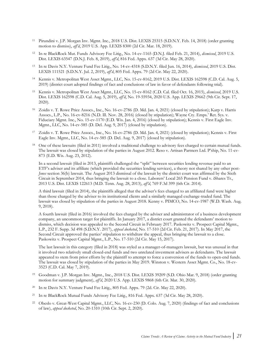- <sup>11</sup> Pirundini v. J.P. Morgan Inv. Mgmt. Inc., 2018 U.S. Dist. LEXIS 25315 (S.D.N.Y. Feb. 14, 2018) (order granting motion to dismiss), *aff'd*, 2019 U.S. App. LEXIS 8300 (2d Cir. Mar. 18, 2019).
- <sup>12</sup> In re BlackRock Mut. Funds Advisory Fee Litig., No. 14-cv-1165 (D.N.J. filed Feb. 21, 2014), *dismissed*, 2019 U.S. Dist. LEXIS 63547 (D.N.J. Feb. 8, 2019), *aff'd*, 816 Fed. Appx. 637 (3d Cir. May 28, 2020).
- <sup>13</sup> In re Davis N.Y. Venture Fund Fee Litig., No. 14-cv-4318 (S.D.N.Y. filed Jun. 16, 2014), *dismissed*, 2019 U.S. Dist. LEXIS 111521 (S.D.N.Y. Jul. 2, 2019), *aff'd*, 805 Fed. Appx. 79 (2d Cir. May 22, 2020).
- <sup>14</sup> Kennis v. Metropolitan West Asset Mgmt., LLC, No. 15-cv-8162, 2019 U.S. Dist. LEXIS 162598 (C.D. Cal. Aug. 5, 2019) (district court adopted findings of fact and conclusions of law in favor of defendants following trial).
- <sup>15</sup> Kennis v. Metropolitan West Asset Mgmt., LLC, No. 15-cv-8162 (C.D. Cal. filed Oct. 16, 2015), *dismissed*, 2019 U.S. Dist. LEXIS 162598 (C.D. Cal. Aug. 5, 2019), *aff'd*, No. 19-55934, 2020 U.S. App. LEXIS 29662 (9th Cir. Sept. 17, 2020).
- <sup>16</sup> Zoidis v. T. Rowe Price Assocs., Inc., No. 16-cv-2786 (D. Md. Jan. 4, 2021) (closed by stipulation); Karp v. Harris Assocs., L.P., No. 16-cv-8216 (N.D. Ill. Nov. 28, 2016) (closed by stipulation); Wayne Cty. Emps.' Ret. Sys. v. Fiduciary Mgmt. Inc., No. 15-cv-1170 (E.D. Wis. Jan. 4, 2016) (closed by stipulation); Kennis v. First Eagle Inv. Mgmt., LLC, No. 14-cv-585 (D. Del. Aug. 9, 2017) (closed by stipulation).
- <sup>17</sup> Zoidis v. T. Rowe Price Assocs., Inc., No. 16-cv-2786 (D. Md. Jan. 4, 2021) (closed by stipulation); Kennis v. First Eagle Inv. Mgmt., LLC, No. 14-cv-585 (D. Del. Aug. 9, 2017) (closed by stipulation).
- <sup>18</sup> One of these lawsuits (filed in 2011) involved a traditional challenge to advisory fees charged to certain mutual funds. The lawsuit was closed by stipulation of the parties in August 2012. Reso v. Artisan Partners Ltd. P'ship, No. 11-cv-873 (E.D. Wis. Aug. 23, 2012).

In a second lawsuit (filed in 2013, plaintiffs challenged the "split" between securities lending revenue paid to an ETF's adviser and its affiliate (which provided the securities lending services), a theory not shared by any other post-*Jones* section 36(b) lawsuit. The August 2013 dismissal of the lawsuit by the district court was affirmed by the Sixth Circuit in September 2014, thus bringing the lawsuit to a close. Laborers' Local 265 Pension Fund v. iShares Tr., 2013 U.S. Dist. LEXIS 122613 (M.D. Tenn. Aug. 28, 2013), *aff'd*, 769 F.3d 399 (6th Cir. 2014).

A third lawsuit (filed in 2014), the plaintiffs alleged that the adviser's fees charged to an affiliated fund were higher than those charged by the adviser to its institutional clients and a similarly managed exchange-traded fund. The lawsuit was closed by stipulation of the parties in August 2018. Kenny v. PIMCO, No. 14-cv-1987 (W.D. Wash. Aug. 9, 2018).

A fourth lawsuit (filed in 2016) involved the fees charged by the adviser and administrator of a business development company, an uncommon target for plaintiffs. In January 2017, a district court granted the defendants' motion to dismiss, which decision was appealed to the Second Circuit in February 2017. Paskowitz v. Prospect Capital Mgmt., L.P., 232 F. Supp. 3d 498 (S.D.N.Y. 2017), *appeal docketed*, No. 17-510 (2d Cir. Feb. 21, 2017). In May 2017, the Second Circuit approved the parties' stipulation to withdraw the appeal, thus bringing the lawsuit to a close. Paskowitz v. Prospect Capital Mgmt., L.P., No. 17-510 (2d Cir. May 15, 2017).

The last lawsuit in this category (filed in 2018) was styled as a manager-of-managers lawsuit, but was unusual in that it involved two relatively small closed-end funds and two unrelated investment advisers as defendants. The lawsuit appeared to stem from prior efforts by the plaintiff to attempt to force a conversion of the funds to open-end funds. The lawsuit was closed by stipulation of the parties in May 2019. Winston v. Western Asset Mgmt. Co., No. 18-cv-3523 (C.D. Cal. May 7, 2019).

- <sup>19</sup> Goodman v. J.P. Morgan Inv. Mgmt., Inc., 2018 U.S. Dist. LEXIS 39209 (S.D. Ohio Mar. 9, 2018) (order granting motion for summary judgment), *aff'd*, 2020 U.S. App. LEXIS 9868 (6th Cir. Mar. 30, 2020).
- <sup>20</sup> In re Davis N.Y. Venture Fund Fee Litig., 805 Fed. Appx. 79 (2d. Cir. May 22, 2020).
- <sup>21</sup> In re BlackRock Mutual Funds Advisory Fee Litig., 816 Fed. Appx. 637 (3d Cir. May 28, 2020).
- <sup>22</sup> Obeslo v. Great-West Capital Mgmt., LLC, No. 16-cv-230 (D. Colo. Aug. 7, 2020) (findings of fact and conclusions of law), *appeal docketed*, No. 20-1310 (10th Cir. Sept. 2, 2020).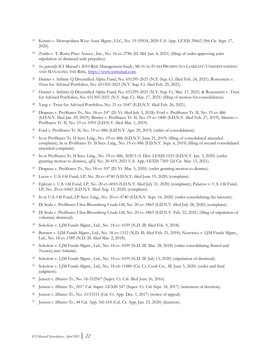- <sup>23</sup> Kennis v. Metropolitan West Asset Mgmt., LLC, No. 19-55934, 2020 U.S. App. LEXIS 29662 (9th Cir. Sept. 17, 2020).
- <sup>24</sup> Zoidis v. T. Rowe Price Assocs., Inc., No. 16-cv-2786 (D. Md. Jan. 4, 2021) (filing of order approving joint stipulation of dismissal with prejudice).
- <sup>25</sup> *See generally* ICI Mutual's 2010 Risk Management Study, MUTUAL FUND PROSPECTUS LIABILITY: UNDERSTANDING AND MANAGING THE RISK[, https://www.icimutual.com.](https://www.icimutual.com/system/files/Mutual%20Fund%20Prospectus%20Liability%20Understanding%20and%20Managing%20the%20Risk.pdf)
- <sup>26</sup> Hunter v. Infinity Q Diversified Alpha Fund, No. 651295-2021 (N.Y. Sup. Ct. filed Feb. 24, 2021); Rosenstein v. Trust for Advised Portfolios, No. 651302-2021 (N.Y. Sup. Ct. filed Feb. 25, 2021).
- <sup>27</sup> Hunter v. Infinity Q Diversified Alpha Fund, No. 651295-2021 (N.Y. Sup. Ct. Mar. 17, 2021) & Rosenstein v. Trust for Advised Portfolios, No. 651302-2021 (N.Y. Sup. Ct. Mar. 17, 2021) (filing of motion for consolidation).
- <sup>28</sup> Yang v. Trust for Advised Portfolios, No. 21-cv-1047 (E.D.N.Y. filed Feb. 26, 2021).
- <sup>29</sup> Drapeau v. ProShares Tr., No. 18-cv-107 (D. Vt. filed July 3, 2018); Ford v. ProShares Tr. II, No. 19-cv-886 (S.D.N.Y. filed Jan. 29, 2019); Bittner v. ProShares Tr. II, No. 19-cv-1840 (S.D.N.Y. filed Feb. 27, 2019); Mareno v. ProShares Tr. II, No. 19-cv-1955 (S.D.N.Y. filed Mar. 1, 2019).
- <sup>30</sup> Ford v. ProShares Tr. II, No. 19-cv-886 (S.D.N.Y. Apr. 29, 2019) (order of consolidation).
- <sup>31</sup> In re ProShares Tr. II Secs. Litig., No. 19-cv-886 (S.D.N.Y. June 21, 2019) (filing of consolidated amended complaint); In re ProShares Tr. II Secs. Litig., No. 19-cv-886 (S.D.N.Y. Sept. 6, 2019) (filing of second consolidated amended complaint).
- <sup>32</sup> In re ProShares Tr. II Secs. Litig., No. 19-cv-886, 2020 U.S. Dist. LEXIS 1533 (S.D.N.Y. Jan. 3, 2020) (order granting motion to dismiss), *aff'd*, No. 20-419, 2021 U.S. App. LEXIS 7369 (2d Cir. Mar. 15, 2021).
- <sup>33</sup> Drapeau v. ProShares Tr., No. 18-cv-107 (D. Vt. Mar. 5, 2020) (order granting motion to dismiss).
- <sup>34</sup> Lucas v. U.S. Oil Fund, LP, No. 20-cv-4740 (S.D.N.Y. filed June 19, 2020) (complaint).
- <sup>35</sup> Ephrati v. U.S. Oil Fund, LP, No. 20-cv-6010 (S.D.N.Y. filed July 31, 2020) (complaint); Palacios v. U.S. Oil Fund, LP, No. 20-cv-6442 (S.D.N.Y. filed Aug. 13, 2020) (complaint).
- <sup>36</sup> In re U.S. Oil Fund, LP Secs. Litig., No. 20-cv-4740 (S.D.N.Y. Sept. 16, 2020) (order consolidating the lawsuits).
- <sup>37</sup> Di Scala v. ProShares Ultra Bloomberg Crude Oil, No. 20-cv-5865 (S.D.N.Y. filed July 28, 2020) (complaint).
- <sup>38</sup> Di Scala v. ProShares Ultra Bloomberg Crude Oil, No. 20-cv-5865 (S.D.N.Y. Feb. 22, 2021) (filing of stipulation of voluntary dismissal).
- <sup>39</sup> Sokolow v. LJM Funds Mgmt., Ltd., No. 18-cv-1039 (N.D. Ill. filed Feb. 9, 2018).
- <sup>40</sup> Bennett v. LJM Funds Mgmt., Ltd., No. 18-cv-1312 (N.D. Ill. filed Feb. 21, 2018); Nosewicz v. LJM Funds Mgmt., Ltd., No. 18-cv-1589 (N.D. Ill. filed Mar. 2, 2018).
- <sup>41</sup> Sokolow v. LJM Funds Mgmt., Ltd., No. 18-cv-1039 (N.D. Ill. Mar. 28, 2018) (order consolidating *Bennett* and *Nosewicz* into *Sokolow*).
- <sup>42</sup> Sokolow v. LJM Funds Mgmt., Ltd., No. 18-cv-1039 (N.D. Ill. July 13, 2020) (stipulation of dismissal).
- <sup>43</sup> Sokolow v. LJM Funds Mgmt., Ltd., No. 18-ch-11880 (Cir. Ct. Cook Cty., Ill. June 5, 2020) (order and final judgment).
- <sup>44</sup> Jensen v. iShares Tr., No. 16-552567 (Super. Ct. Cal. filed June 16, 2016).
- Jensen v. iShares Tr., 2017 Cal. Super. LEXIS 547 (Super. Ct. Cal. Sept. 18, 2017) (statement of decision).
- Jensen v. iShares Tr., No. A153511 (Cal. Ct. App. Dec. 1, 2017) (notice of appeal).
- <sup>47</sup> Jensen v. iShares Tr., 44 Cal. App. 5th 618 (Cal. Ct. App. Jan. 23, 2020) (decision).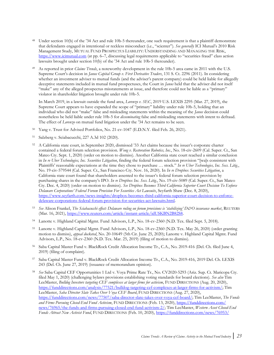- <sup>48</sup> Under section 10(b) of the '34 Act and rule 10b-5 thereunder, one such requirement is that a plaintiff demonstrate that defendants engaged in intentional or reckless misconduct (i.e., "scienter"). *See generally* ICI Mutual's 2010 Risk Management Study, MUTUAL FUND PROSPECTUS LIABILITY: UNDERSTANDING AND MANAGING THE RISK, [https://www.icimutual.com](https://www.icimutual.com/system/files/Mutual%20Fund%20Prospectus%20Liability%20Understanding%20and%20Managing%20the%20Risk.pdf) (at pp. 6–7, discussing legal requirements applicable to "securities fraud" class action lawsuits brought under section 10(b) of the '34 Act and rule 10b-5 thereunder).
- <sup>49</sup> As reported in prior *Claims Trends*, a noteworthy development in the rule 10b-5 area came in 2011 with the U.S. Supreme Court's decision in *Janus Capital Group v. First Derivative Traders*, 131 S. Ct. 2296 (2011). In considering whether an investment adviser to mutual funds (and the adviser's parent company) could be held liable for allegedly deceptive statements included in mutual fund prospectuses, the Court in *Janus* held that the adviser did not itself "make" any of the alleged prospectus misstatements at issue, and therefore could not be liable as a "primary" violator in shareholder litigation brought under rule 10b-5.

In March 2019, in a lawsuit outside the fund area, *Lorenzo v. SEC*, 2019 U.S. LEXIS 2295 (Mar. 27, 2019), the Supreme Court appears to have expanded the scope of "primary" liability under rule 10b-5, holding that an individual who did not "make" false and misleading statements within the meaning of the *Janus* decision could nonetheless be held liable under rule 10b-5 for *disseminating* false and misleading statements with intent to defraud. The effect of *Lorenzo* on mutual fund litigation under the '34 Act remains to be seen.

- <sup>50</sup> Yang v. Trust for Advised Portfolios, No. 21-cv-1047 (E.D.N.Y. filed Feb. 26, 2021).
- <sup>51</sup> Salzberg v. Sciabacucchi, 227 A.3d 102 (2020).
- <sup>52</sup> A California state court, in September 2020, dismissed '33 Act claims because the issuer's corporate charter contained a federal forum selection provision. *Wong v. Restoration Robotics, Inc.*, No. 18-civ-2609 (Cal. Super. Ct., San Mateo Cty. Sept. 1, 2020) (order on motion to dismiss). Another California state court reached a similar conclusion in *In re Uber Technologies, Inc. Securities Litigation*, finding the federal forum selection provision "[wa]s consistent with Plaintiffs' reasonable expectations at the time they chose to purchase … stock." *In re Uber Technologies, Inc. Secs. Litig.*, No. 19-civ-579544 (Cal. Super. Ct., San Francisco Cty. Nov. 16, 2020). In *In re Dropbox Securities Litigation*, a California state court found that shareholders assented to the issuer's federal forum selection provision by purchasing shares in the company's IPO. *In re Dropbox Inc. Secs. Litig.*, No. 19-civ-5089 (Cal. Super. Ct., San Mateo Cty. Dec. 4, 2020) (order on motion to dismiss). *See Dropbox Becomes Third California Superior Court Decision To Enforce Delaware Corporations' Federal Forum Provision For Securities Act Lawsuits*, Seyfarth Shaw (Dec. 8, 2020), [https://www.seyfarth.com/news-insights/dropbox-becomes-third-california-superior-court-decision-to-enforce](https://www.seyfarth.com/news-insights/dropbox-becomes-third-california-superior-court-decision-to-enforce-delaware-corporations-federal-forum-provision-for-securities-act-lawsuits.html)[delaware-corporations-federal-forum-provision-for-securities-act-lawsuits.html.](https://www.seyfarth.com/news-insights/dropbox-becomes-third-california-superior-court-decision-to-enforce-delaware-corporations-federal-forum-provision-for-securities-act-lawsuits.html)
- <sup>53</sup> *See* Alison Frankel, *The Sciabacucchi effect: Delaware ruling on forum provisions is 'stabilizing' D&O insurance market*, REUTERS (Mar. 16, 2021), [https://www.reuters.com/article/instant-article/idUSKBN2B82S8.](https://www.reuters.com/article/instant-article/idUSKBN2B82S8)
- <sup>54</sup> Lanotte v. Highland Capital Mgmt. Fund Advisors, L.P., No. 18-cv-2360 (N.D. Tex. filed Sept. 5, 2018).
- <sup>55</sup> Lanotte v. Highland Capital Mgmt. Fund Advisors, L.P., No. 18-cv-2360 (N.D. Tex. May 26, 2020) (order granting motion to dismiss), *appeal docketed*, No. 20-10649 (5th Cir. June 25, 2020); Lanotte v. Highland Capital Mgmt. Fund Advisors, L.P., No. 18-cv-2360 (N.D. Tex. Mar. 25, 2019) (filing of motion to dismiss).
- <sup>56</sup> Saba Capital Master Fund v. BlackRock Credit Allocation Income Tr., C.A., No. 2019-416 (Del. Ch. filed June 4, 2019) (filing of complaint).
- <sup>57</sup> Saba Capital Master Fund v. BlackRock Credit Allocation Income Tr., C.A., No. 2019-416, 2019 Del. Ch. LEXIS 243 (Del. Ch. June 27, 2019) (issuance of memorandum opinion).
- <sup>58</sup> *See* Saba Capital CEF Opportunities 1 Ltd v. Voya Prime Rate Tr., No. CV2020-5293 (Ariz. Sup. Ct. Maricopa Cty. filed May 1, 2020) (challenging bylaws provisions establishing voting standards for board elections). *See also* Tim LeeMaster, *Bulldog Investors targeting CEF complexes at larger firms for activism*, FUND DIRECTIONS (Aug. 20, 2020), [https://funddirections.com/analysis/77521/bulldog-targeting-cef-complexes-at-larger-firms-for-activism/;](https://funddirections.com/analysis/77521/bulldog-targeting-cef-complexes-at-larger-firms-for-activism/) Tim LeeMaster, *Saba Director Slate Takes Over Voya CEF Board*, FUND DIRECTIONS (Aug. 27, 2020), [https://funddirections.com/news/77507/saba-director-slate-takes-over-voya-cef-board/;](https://funddirections.com/news/77507/saba-director-slate-takes-over-voya-cef-board/) Tim LeeMaster, *The Funds and Firms Pursuing Closed-End Fund Activism*, FUND DIRECTIONS (Feb. 13, 2020)[, https://funddirections.com/](https://funddirections.com/news/76965/the-funds-and-firms-pursuing-closed-end-fund-activism-2/) [news/76965/the-funds-and-firms-pursuing-closed-end-fund-activism-2/;](https://funddirections.com/news/76965/the-funds-and-firms-pursuing-closed-end-fund-activism-2/) Tim LeeMaster, *Western Asset Closed-End Funds Attract New Activist Fund*, FUND DIRECTIONS (Feb. 10, 2020), [https://funddirections.com/news/76953/](https://funddirections.com/news/76953/western-asset-closed-end-funds-attract-new-activist-fund/)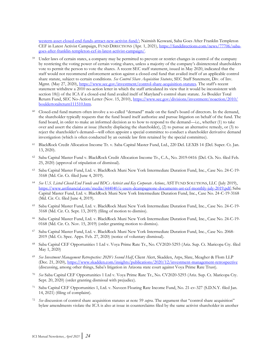[western-asset-closed-end-funds-attract-new-activist-fund/;](https://funddirections.com/news/76953/western-asset-closed-end-funds-attract-new-activist-fund/) Naimish Keswani, Saba Goes After Franklin Templeton CEF in Latest Activist Campaign, FUND DIRECTIONS (Apr. 1, 2021), [https://funddirections.com/news/77706/saba](https://funddirections.com/news/77706/saba-goes-after-franklin-templeton-cef-in-latest-activist-campaign/)[goes-after-franklin-templeton-cef-in-latest-activist-campaign/.](https://funddirections.com/news/77706/saba-goes-after-franklin-templeton-cef-in-latest-activist-campaign/)

- <sup>59</sup> Under laws of certain states, a company may be permitted to prevent or restrict changes in control of the company by restricting the voting power of certain voting shares, unless a majority of the company's disinterested shareholders vote to permit the person to vote the shares. A recent SEC staff statement, issued in May 2020, indicated that the staff would not recommend enforcement action against a closed-end fund that availed itself of an applicable control share statute, subject to certain conditions. *See Control Share Acquisition Statutes*, SEC Staff Statement, Div. of Inv. Mgmt. (May 27, 2020), [https://www.sec.gov/investment/control-share-acquisition-statutes.](https://www.sec.gov/investment/control-share-acquisition-statutes) The staff's recent statement withdrew a 2010 no-action letter in which the staff articulated its view that it would be inconsistent with section 18(i) of the ICA if a closed-end fund availed itself of Maryland's control share statute. *See* Boulder Total Return Fund, SEC No-Action Letter (Nov. 15, 2010), [https://www.sec.gov/divisions/investment/noaction/2010/](https://www.sec.gov/divisions/investment/noaction/2010/bouldertotalreturn111510.htm) [bouldertotalreturn111510.htm.](https://www.sec.gov/divisions/investment/noaction/2010/bouldertotalreturn111510.htm)
- <sup>60</sup> Closed-end fund matters often involve a so-called "demand" made on the fund's board of directors. In the demand, the shareholder typically requests that the fund board itself authorize and pursue litigation on behalf of the fund. The fund board, in order to make an informed decision as to how to respond to the demand—i.e., whether (1) to take over and assert the claims at issue (thereby displacing the shareholder), (2) to pursue an alternative remedy, or (3) to reject the shareholder's demand—will often appoint a special committee to conduct a shareholder derivative demand investigation (which is often conducted by an outside law firm retained by the special committee).
- <sup>61</sup> BlackRock Credit Allocation Income Tr. v. Saba Capital Master Fund, Ltd., 220 Del. LEXIS 14 (Del. Super. Ct. Jan. 13, 2020).
- <sup>62</sup> Saba Capital Master Fund v. BlackRock Credit Allocation Income Tr., C.A., No. 2019-0416 (Del. Ch. No. filed Feb. 25, 2020) (approval of stipulation of dismissal).
- <sup>63</sup> Saba Capital Master Fund, Ltd. v. BlackRock Muni New York Intermediate Duration Fund, Inc., Case No. 24-C-19- 3168 (Md. Cir. Ct. filed June 4, 2019).
- <sup>64</sup> *See U.S. Listed Closed-End Funds and BDCs Activist and Key Corporate Actions*, AST FUND SOLUTIONS, LLC (July 2019), [https://www.astfinancial.com/media/444040/c-users-dcampagnone-documents-ast-cef-monthly-july-2019.pdf;](https://www.astfinancial.com/media/444040/c-users-dcampagnone-documents-ast-cef-monthly-july-2019.pdf) Saba Capital Master Fund, Ltd. v. BlackRock Muni New York Intermediate Duration Fund, Inc., Case No. 24-C-19-3168 (Md. Cir. Ct. filed June 4, 2019).
- <sup>65</sup> Saba Capital Master Fund, Ltd. v. BlackRock Muni New York Intermediate Duration Fund, Inc., Case No. 24-C-19- 3168 (Md. Cir. Ct. Sept. 13, 2019) (filing of motion to dismiss).
- <sup>66</sup> Saba Capital Master Fund, Ltd. v. BlackRock Muni New York Intermediate Duration Fund, Inc., Case No. 24-C-19- 0168 (Md. Cir. Ct. Nov. 15, 2019) (order granting motion to dismiss).
- <sup>67</sup> Saba Capital Master Fund, Ltd. v. BlackRock Muni New York Intermediate Duration Fund, Inc., Case No. 2068- 2019 (Md. Ct. Spec. Apps. Feb. 27, 2020) (notice of voluntary dismissal).
- <sup>68</sup> Saba Capital CEF Opportunities 1 Ltd v. Voya Prime Rate Tr., No. CV2020-5293 (Ariz. Sup. Ct. Maricopa Cty. filed May 1, 2020)
- <sup>69</sup> *See Investment Management Retrospective: 2020's Second Half*, Client Alert, Skadden, Arps, Slate, Meagher & Flom LLP (Dec. 21, 2020),<https://www.skadden.com/insights/publications/2020/12/investment-management-retrospective> (discussing, among other things, Saba's litigation in Arizona state court against Voya Prime Rate Trust).
- <sup>70</sup> *See* Saba Capital CEF Opportunities 1 Ltd v. Voya Prime Rate Tr., No. CV2020-5293 (Ariz. Sup. Ct. Maricopa Cty. Sept. 20, 2020) (order granting dismissal with prejudice).
- <sup>71</sup> Saba Capital CEF Opportunities 1, Ltd. v. Nuveen Floating Rate Income Fund, No. 21-cv-327 (S.D.N.Y. filed Jan. 14, 2021) (filing of complaint).
- <sup>72</sup> *See* discussion of control share acquisition statutes at note [59](#page-8-0) *supra*. The argument that "control share acquisition" bylaw amendments violate the ICA is also at issue in counterclaims filed by the same activist shareholder in another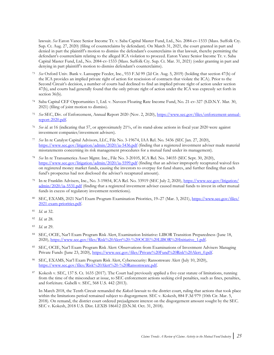lawsuit. *See* Eaton Vance Senior Income Tr. v. Saba Capital Master Fund, Ltd., No. 2084-cv-1533 (Mass. Suffolk Cty. Sup. Ct. Aug. 27, 2020) (filing of counterclaims by defendant). On March 31, 2021, the court granted in part and denied in part the plaintiff's motion to dismiss the defendant's counterclaims in that lawsuit, thereby permitting the defendant's counterclaim relating to the alleged ICA violation to proceed. Eaton Vance Senior Income Tr. v. Saba Capital Master Fund, Ltd., No. 2084-cv-1533 (Mass. Suffolk Cty. Sup. Ct. Mar. 31, 2021) (order granting in part and denying in part plaintiff's motion to dismiss defendant's counterclaims).

- <sup>73</sup> *See* Oxford Univ. Bank v. Lansuppe Feeder, Inc., 933 F.3d 99 (2d Cir. Aug. 5, 2019) (holding that section 47(b) of the ICA provides an implied private right of action for rescission of contracts that violate the ICA). Prior to the Second Circuit's decision, a number of courts had declined to find an implied private right of action under section 47(b), and courts had generally found that the only private right of action under the ICA was expressly set forth in section 36(b).
- <sup>74</sup> Saba Capital CEF Opportunities 1, Ltd. v. Nuveen Floating Rate Income Fund, No. 21-cv-327 (S.D.N.Y. Mar. 30, 2021) (filing of joint motion to dismiss).
- <sup>75</sup> *See* SEC, Div. of Enforcement, Annual Report 2020 (Nov. 2, 2020)[, https://www.sec.gov/files/enforcement-annual](https://www.sec.gov/files/enforcement-annual-report-2020.pdf)[report-2020.pdf.](https://www.sec.gov/files/enforcement-annual-report-2020.pdf)
- <sup>76</sup> *See id.* at 16 (indicating that 57, or approximately 21%, of its stand-alone actions in fiscal year 2020 were against investment companies/investment advisers).
- <sup>77</sup> *See* In re Catalyst Capital Advisors, LLC, File No. 3-19674, IAA Rel. No. 5436 (SEC Jan. 27, 2020), <https://www.sec.gov/litigation/admin/2020/ia-5436.pdf> (finding that a registered investment adviser made material misstatements concerning its risk management procedures for a mutual fund under its management).
- <sup>78</sup> *See* In re Transamerica Asset Mgmt. Inc., File No. 3-20105, ICA Rel. No. 34035 (SEC Sept. 30, 2020), <https://www.sec.gov/litigation/admin/2020/ia-5599.pdf> (finding that an adviser improperly recaptured waived fees on registered money market funds, causing the investors to overpay for fund shares, and further finding that each fund's prospectus had not disclosed the adviser's recaptured amount).
- <sup>79</sup> In re Franklin Advisers, Inc., No. 3-19854, ICA Rel. No. 33919 (SEC July 2, 2020), [https://www.sec.gov/litigation/](https://www.sec.gov/litigation/admin/2020/ia-5531.pdf) [admin/2020/ia-5531.pdf](https://www.sec.gov/litigation/admin/2020/ia-5531.pdf) (finding that a registered investment adviser caused mutual funds to invest in other mutual funds in excess of regulatory investment restrictions).
- <sup>80</sup> SEC, EXAMS, 2021 Nat'l Exam Program Examination Priorities, 19–27 (Mar. 3, 2021), [https://www.sec.gov/files/](https://www.sec.gov/files/2021-exam-priorities.pdf) [2021-exam-priorities.pdf.](https://www.sec.gov/files/2021-exam-priorities.pdf)
- <sup>81</sup> *Id.* at 32.
- <sup>82</sup> *Id.* at 28.
- <sup>83</sup> *Id.* at 29.
- <sup>84</sup> SEC, OCIE, Nat'l Exam Program Risk Alert, Examination Initiative: LIBOR Transition Preparedness (June 18, 2020)[, https://www.sec.gov/files/Risk%20Alert%20-%20OCIE%20LIBOR%20Initiative\\_1.pdf.](https://www.sec.gov/files/Risk%20Alert%20-%20OCIE%20LIBOR%20Initiative_1.pdf)
- <sup>85</sup> SEC, OCIE, Nat'l Exam Program Risk Alert: Observations from Examinations of Investment Advisers Managing Private Funds (June 23, 2020), [https://www.sec.gov/files/Private%20Fund%20Risk%20Alert\\_0.pdf.](https://www.sec.gov/files/Private%20Fund%20Risk%20Alert_0.pdf)
- <sup>86</sup> SEC, EXAMS, Nat'l Exam Program Risk Alert, Cybersecurity: Ransomware Alert (July 10, 2020), [https://www.sec.gov/files/Risk%20Alert%20-%20Ransomware.pdf.](https://www.sec.gov/files/Risk%20Alert%20-%20Ransomware.pdf)
- <sup>87</sup> Kokesh v. SEC, 137 S. Ct. 1635 (2017). The Court had previously applied a five-year statute of limitations, running from the time of the misconduct at issue, to SEC enforcement actions seeking civil penalties, such as fines, penalties, and forfeiture. Gabelli v. SEC, 568 U.S. 442 (2013).

In March 2018, the Tenth Circuit remanded the *Kokesh* lawsuit to the district court, ruling that actions that took place within the limitations period remained subject to disgorgement. SEC v. Kokesh, 884 F.3d 979 (10th Cir. Mar. 5, 2018). On remand, the district court ordered prejudgment interest on the disgorgement amount sought by the SEC. SEC v. Kokesh, 2018 U.S. Dist. LEXIS 186412 (D.N.M. Oct. 31, 2018).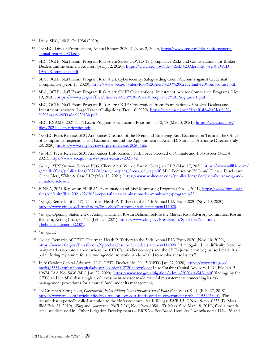- <sup>88</sup> Liu v. SEC, 140 S. Ct. 1936 (2020).
- 89 *See* SEC, Div. of Enforcement, Annual Report 2020, 7 (Nov. 2, 2020), [https://www.sec.gov/files/enforcement](https://www.sec.gov/files/enforcement-annual-report-2020.pdf)[annual-report-2020.pdf.](https://www.sec.gov/files/enforcement-annual-report-2020.pdf)
- <sup>90</sup> SEC, OCIE, Nat'l Exam Program Risk Alert: Select COVID-19 Compliance Risks and Considerations for BrokerDealers and Investment Advisers (Aug. 12, 2020), [https://www.sec.gov/files/Risk%20Alert%20-%20COVID-](https://www.sec.gov/files/Risk%20Alert%20-%20COVID-19%20Compliance.pdf)[19%20Compliance.pdf.](https://www.sec.gov/files/Risk%20Alert%20-%20COVID-19%20Compliance.pdf)
- <sup>91</sup> SEC, OCIE, Nat'l Exam Program Risk Alert: Cybersecurity: Safeguarding Client Accounts against Credential Compromise (Sept. 15, 2020), [https://www.sec.gov/files/Risk%20Alert%20-%20Credential%20Compromise.pdf.](https://www.sec.gov/files/Risk%20Alert%20-%20Credential%20Compromise.pdf)
- <sup>92</sup> SEC, OCIE, Nat'l Exam Program Risk Alert: OCIE Observations: Investment Adviser Compliance Programs (Nov. 19, 2020), [https://www.sec.gov/files/Risk%20Alert%20IA%20Compliance%20Programs\\_0.pdf.](https://www.sec.gov/files/Risk%20Alert%20IA%20Compliance%20Programs_0.pdf)
- <sup>93</sup> SEC, OCIE, Nat'l Exam Program Risk Alert: OCIE Observations from Examinations of Broker-Dealers and Investment Advisers: Large Trader Obligations (Dec. 16, 2020)[, https://www.sec.gov/files/Risk%20Alert%20-](https://www.sec.gov/files/Risk%20Alert%20-%20Large%20Trader%2013h.pdf) [%20Large%20Trader%2013h.pdf.](https://www.sec.gov/files/Risk%20Alert%20-%20Large%20Trader%2013h.pdf)
- 94 SEC, EXAMS, 2021 Nat'l Exam Program Examination Priorities, at 10, 18 (Mar. 3, 2021), [https://www.sec.gov/](https://www.sec.gov/‌files/2021-exam-priorities.pdf) [files/2021-exam-priorities.pdf.](https://www.sec.gov/‌files/2021-exam-priorities.pdf)
- <sup>95</sup> *See* SEC Press Release, SEC Announces Creation of the Event and Emerging Risk Examination Team in the Office of Compliance Inspections and Examinations and the Appointment of Adam D. Storch as Associate Director (July 28, 2020), [https://www.sec.gov/news/press-release/2020-165.](https://www.sec.gov/news/press-release/2020-165)
- <sup>96</sup> *See* SEC Press Release, SEC Announces Enforcement Task Force Focused on Climate and ESG Issues (Mar. 4, 2021)[, https://www.sec.gov/news/press-release/2021-42.](https://www.sec.gov/news/press-release/2021-42)
- <sup>97</sup> *See, e.g.*, *SEC Sharpens Focus on ESG*, Client Alert, Willkie Farr & Gallagher LLP (Mar. 17, 2021) [https://www.willkie.com/](https://www.willkie.com/‌-/media/files/publications/2021/03/sec_sharpens_focus_on_esg.pdf) [-/media/files/publications/2021/03/sec\\_sharpens\\_focus\\_on\\_esg.pdf;](https://www.willkie.com/‌-/media/files/publications/2021/03/sec_sharpens_focus_on_esg.pdf) SEC Focuses on ESG and Climate Disclosure, Client Alert, White & Case LLP (Mar. 18, 2021), [https://www.whitecase.com/publications/alert/sec-focuses-esg-and](https://www.whitecase.com/publications/alert/sec-focuses-esg-and-climate-disclosure)[climate-disclosure.](https://www.whitecase.com/publications/alert/sec-focuses-esg-and-climate-disclosure)
- 98 FINRA, 2021 Report on FINRA's Examination and Risk Monitoring Program (Feb. 1, 2021), [https://www.finra.org/](https://www.finra.org/sites/default/files/2021-02/2021-report-finras-examination-risk-monitoring-program.pdf) [sites/default/files/2021-02/2021-report-finras-examination-risk-monitoring-program.pdf.](https://www.finra.org/sites/default/files/2021-02/2021-report-finras-examination-risk-monitoring-program.pdf)
- <sup>99</sup> *See, e.g.*, Remarks of CFTC Chairman Heath P. Tarbert to the 36th Annual FIA Expo 2020 (Nov. 10, 2020), [https://www.cftc.gov/PressRoom/SpeechesTestimony/tarbetstatement111020.](https://www.cftc.gov/PressRoom/SpeechesTestimony/tarbetstatement111020)
- <sup>100</sup> *See, e.g.*, Opening Statement of Acting Chairman Rostin Behnam before the Market Risk Advisory Committee, Rostin Behnam, Acting Chair, CFTC (Feb. 23, 2021), [https://www.cftc.gov/PressRoom/SpeechesTestimony](https://www.cftc.gov/PressRoom/SpeechesTestimony‌/behnamstatement022321) [/behnamstatement022321.](https://www.cftc.gov/PressRoom/SpeechesTestimony‌/behnamstatement022321)
- <sup>101</sup> *See, e.g.*, *id.*
- <sup>102</sup> *See, e.g.*, Remarks of CFTC Chairman Heath P. Tarbert to the 36th Annual FIA Expo 2020 (Nov. 10, 2020), <https://www.cftc.gov/PressRoom/SpeechesTestimony/tarbetstatement111020> ("I recognized the difficulty faced by many market operators about where the CFTC's jurisdiction stops and the SEC's jurisdiction begins, so I made it a point during my tenure for the two agencies to work hand-in-hand to resolve these issues.").
- <sup>103</sup> In re Catalyst Capital Advisors, LLC, CFTC Docket No. 20-13 (CFTC Jan. 27, 2020), [https://www.cftc.gov/](https://www.cftc.gov/media/3351/enfcatalystcapitaladvisorsllcorder012720/download) [media/3351/enfcatalystcapitaladvisorsllcorder012720/download;](https://www.cftc.gov/media/3351/enfcatalystcapitaladvisorsllcorder012720/download) In re Catalyst Capital Advisors, LLC, File No. 3- 19674, IAA No. 5436 (SEC Jan. 27, 2020),<https://www.sec.gov/litigation/admin/2020/ia-5436.pdf> (findings by the CFTC and the SEC that a registered investment adviser made material misstatements concerning its risk management procedures for a mutual fund under its management).
- <sup>104</sup> *See* Gretchen Morgenson, *Government Probes Fidelity Over Obscure Mutual-Fund Fees*, WALL ST. J. (Feb. 27, 2019), [https://www.wsj.com/articles/fidelitys-fees-on-low-cost-funds-eyed-in-government-probe-11551263401.](https://www.wsj.com/articles/fidelitys-fees-on-low-cost-funds-eyed-in-government-probe-11551263401) The lawsuit that reportedly called attention to the "infrastructure" fee is *Wong v. FMR LLC*, No. 19-cv-10335 (D. Mass. filed Feb. 21, 2019). *Wong* and *Summers v. FMR LLC*, No. 19-cv-10501 (D. Mass. filed Mar. 18, 2019), filed a month later, are discussed in "Other Litigation Developments – ERISA – Fee-Based Lawsuits." *See infra* notes [112](#page-14-1)–[136](#page-16-1) and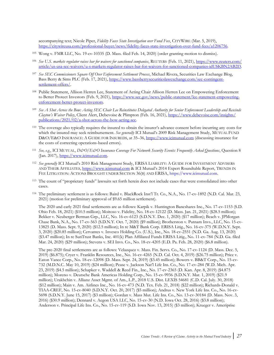accompanying text; Nicole Piper, *Fidelity Faces State Investigation over Fund Fees*, CITYWIRE (Mar. 5, 2019), [https://citywireusa.com/professional-buyer/news/fidelity-faces-state-investigation-over-fund-fees/a1206756.](https://citywireusa.com/professional-buyer/news/fidelity-faces-state-investigation-over-fund-fees/a1206756)

- <sup>105</sup> Wong v. FMR LLC, No. 19-cv-10335 (D. Mass. filed Feb. 14, 2020) (order granting motion to dismiss).
- <sup>106</sup> *See U.S. markets regulator raises bar for waivers for sanctioned companies*, REUTERS (Feb. 11, 2021), [https://www.reuters.com/](https://www.reuters.com/article/us-usa-sec-waivers/u-s-markets-regulator-raises-bar-for-waivers-for-sanctioned-companies-idUSKBN2AB2I3) [article/us-usa-sec-waivers/u-s-markets-regulator-raises-bar-for-waivers-for-sanctioned-companies-idUSKBN2AB2I3.](https://www.reuters.com/article/us-usa-sec-waivers/u-s-markets-regulator-raises-bar-for-waivers-for-sanctioned-companies-idUSKBN2AB2I3)
- <sup>107</sup> *See SEC Commissioners Square Off Over Enforcement Settlement Process*, Michael Rivera, Securities Law Exchange Blog, Bass Berry & Sims PLC (Feb. 17, 2021), [https://www.bassberrysecuritieslawexchange.com/sec-contingent](https://www.bassberrysecuritieslawexchange.com/sec-contingent-settlement-offers/)[settlement-offers/.](https://www.bassberrysecuritieslawexchange.com/sec-contingent-settlement-offers/)
- <sup>108</sup> Public Statement, Allison Herren Lee, Statement of Acting Chair Allison Herren Lee on Empowering Enforcement to Better Protect Investors (Feb. 9, 2021)[, https://www.sec.gov/news/public-statement/lee-statement-empowering](https://www.sec.gov/news/public-statement/lee-statement-empowering-enforcement-better-protect-investors)[enforcement-better-protect-investors.](https://www.sec.gov/news/public-statement/lee-statement-empowering-enforcement-better-protect-investors)
- <sup>109</sup> *See A Shot Across the Bow: Acting SEC Chair Lee Reinstitutes Delegated Authority for Senior Enforcement Leadership and Rescinds Clayton's Waiver Policy*, Client Alert, Debevoise & Plimpton (Feb. 16, 2021), [https://www.debevoise.com/insights/](https://www.debevoise.com/insights/‌publications/2021/02/a-shot-across-the-bow-acting-sec) [publications/2021/02/a-shot-across-the-bow-acting-sec.](https://www.debevoise.com/insights/‌publications/2021/02/a-shot-across-the-bow-acting-sec)
- <sup>110</sup> The coverage also typically requires the insured to obtain the insurer's advance consent before incurring any costs for which the insured may seek reimbursement. *See generally* ICI Mutual's 2009 Risk Management Study, MUTUAL FUND D&O/E&O INSURANCE: A GUIDE FOR INSUREDS, at 35–36[, https://www.icimutual.com](https://www.icimutual.com/system/files/Mutual%20Fund%20DOEO%20Insurance%20-%20A%20Guide%20for%20Insureds.pdf#page=39) (discussing insurance for the costs of correcting operations-based errors).
- 111 See, e.g., ICI MUTUAL, *D&O/E&O Insurance Coverage For Network Security Events: Frequently Asked Questions*, Question 8 (Jan. 2017), [https://www.icimutual.com.](https://www.icimutual.com/sites/default/files/Network%20Security%20Event%20Endorsement%20FAQs%20-%20January%202017.pdf#page=9)
- <sup>112</sup> *See generally* ICI Mutual's 2010 Risk Management Study, ERISA LIABILITY: A GUIDE FOR INVESTMENT ADVISERS AND THEIR AFFILIATES[, https://www.icimutual.com](https://www.icimutual.com/system/files/ERISA%20Liability.pdf) & ICI Mutual's 2014 Expert Roundtable Report, TRENDS IN FEE LITIGATION: ACTIONS BROUGHT UNDER SECTION 36(B) AND ERISA, [https://www.icimutual.com.](https://www.icimutual.com/system/files/Trends%20in%20Fee%20Litigation%20-%20Section%2036b%20and%20ERISA.pdf)
- <sup>113</sup> The count of "proprietary funds" lawsuits set forth herein does not include cases that were consolidated into other cases.
- <sup>114</sup> The preliminary settlement is as follows: Baird v. BlackRock Inst'l Tr. Co., N.A., No. 17-cv-1892 (N.D. Cal. Mar. 23, 2021) (motion for preliminary approval of \$9.65 million settlement).

The 2020 and early 2021 final settlements are as follows: Karpik v. Huntington Bancshares Inc., No. 17-cv-1153 (S.D. Ohio Feb. 18, 2021) (\$10.5 million); Moitoso v. Fidelity, No. 18-cv-12122 (D. Mass. Jan. 21, 2021) (\$28.5 million); Bekker v. Neuberger Berman Grp., LLC, No. 16-cv-6123 (S.D.N.Y. Dec. 1, 2020) (\$17 million); Beach v. JPMorgan Chase Bank, N.A., No. 17-cv-563 (S.D.N.Y. Oct. 7, 2020) (\$9 million); Brotherston v. Putnam Invs., LLC, No. 15-cv-13825 (D. Mass. Sept. 9, 2020) (\$12.5 million); In re M&T Bank Corp. ERISA Litig., No. 16-cv-375 (W.D.N.Y. Sept. 3, 2020) (\$20.85 million); Cervantes v. Invesco Holding Co. (U.S.), Inc., No. 18-cv-2551 (N.D. Ga. Aug. 13, 2020) (\$3.47 million); In re SunTrust Banks, Inc. 401(k) Plan Affiliated Funds ERISA Litig., No. 11-cv-784 (N.D. Ga. filed Mar. 24, 2020) (\$29 million); Stevens v. SEI Invs. Co., No. 18-cv-4205 (E.D. Pa. Feb. 28, 2020) (\$6.8 million).

The pre-2020 final settlements are as follows: Velazquez v. Mass. Fin. Servs. Co., No. 17-cv-1124 (D. Mass. Dec. 5, 2019) (\$6.875); Cryer v. Franklin Resources, Inc., No. 16-cv-4265 (N.D. Cal. Oct. 4, 2019) (\$26.75 million); Price v. Eaton Vance Corp., No. 18-cv-12098 (D. Mass. Sept. 24, 2019) (\$3.45 million); Bowers v. BB&T Corp., No. 15-cv-732 (M.D.N.C. May 10, 2019) (\$24 million); Pease v. Jackson Nat'l Life Ins. Co., No. 17-cv-284 (W.D. Mich. Apr. 23, 2019) (\$4.5 million); Schapker v. Waddell & Reed Fin., Inc., No. 17-cv-2365 (D. Kan. Apr. 8, 2019) (\$4.875 million); Moreno v. Deutsche Bank Americas Holding Corp., No. 15-cv-9936 (S.D.N.Y. Mar. 1, 2019) (\$21.9 million); Urakhchin v. Allianz Asset Mgmt. of Am., L.P., 2018 U.S. Dist. LEXIS 54681 (C.D. Cal. July. 30, 2018) (\$12 million); Main v. Am. Airlines Inc., No. 16-cv-473 (N.D. Tex. Feb. 21, 2018) (\$22 million); Richards-Donald v. TIAA-CREF, No. 15-cv-8040 (S.D.N.Y. Oct. 20, 2017) (\$5 million); Andrus v. New York Life Ins. Co., No. 16-cv-5698 (S.D.N.Y. June 15, 2017) (\$3 million); Gordan v. Mass Mut. Life Ins. Co., No. 13-cv-30184 (D. Mass. Nov. 3, 2016) (\$30.9 million); Dennard v. Aegon USA LLC, No. 15-cv-30 (N.D. Iowa Oct. 28, 2016) (\$3.8 million); Anderson v. Principal Life Ins. Co., No. 15-cv-119 (S.D. Iowa Nov. 13, 2015) (\$3 million); Krueger v. Ameriprise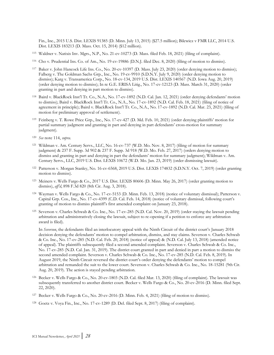Fin., Inc., 2015 U.S. Dist. LEXIS 91385 (D. Minn. July 13, 2015) (\$27.5 million); Bilewicz v FMR LLC, 2014 U.S. Dist. LEXIS 183213 (D. Mass. Oct. 15, 2014) (\$12 million).

- <sup>115</sup> Waldner v. Natixis Inv. Mgrs., N.P., No. 21-cv-10273 (D. Mass. filed Feb. 18, 2021) (filing of complaint).
- <sup>116</sup> Cho v. Prudential Ins. Co. of Am., No. 19-cv-19886 (D.N.J. filed Dec. 8, 2020) (filing of motion to dismiss).
- <sup>117</sup> Baker v. John Hancock Life Ins. Co., No. 20-cv-10397 (D. Mass. July 23, 2020) (order denying motion to dismiss); Falberg v. The Goldman Sachs Grp., Inc., No. 19-cv-9910 (S.D.N.Y. July 9, 2020) (order denying motion to dismiss); Karg v. Transamerica Corp., No. 18-cv-134, 2019 U.S. Dist. LEXIS 140567 (N.D. Iowa Aug. 20, 2019) (order denying motion to dismiss); In re G.E. ERISA Litig., No. 17-cv-12123 (D. Mass. March 31, 2020) (order granting in part and denying in part motion to dismiss).
- <sup>118</sup> Baird v. BlackRock Inst'l Tr. Co., N.A., No. 17-cv-1892 (N.D. Cal. Jan. 12, 2021) (order denying defendants' motion to dismiss); Baird v. BlackRock Inst'l Tr. Co., N.A., No. 17-cv-1892 (N.D. Cal. Feb. 18, 2021) (filing of notice of agreement in principle); Baird v. BlackRock Inst'l Tr. Co., N.A., No. 17-cv-1892 (N.D. Cal. Mar. 23, 2021) (filing of motion for preliminary approval of settlement).
- <sup>119</sup> Feinberg v. T. Rowe Price Grp., Inc., No. 17-cv-427 (D. Md. Feb. 10, 2021) (order denying plaintiffs' motion for partial summary judgment and granting in part and denying in part defendants' cross-motion for summary judgment).
- <sup>120</sup> *See* note [114,](#page-14-2) *supra*.
- <sup>121</sup> Wildman v. Am. Century Servs., LLC, No. 16-cv-737 (W.D. Mo. Nov. 8, 2017) (filing of motion for summary judgment) & 237 F. Supp. 3d 902 & 237 F. Supp. 3d 918 (W.D. Mo. Feb. 27, 2017) (orders denying motion to dismiss and granting in part and denying in part the defendants' motion for summary judgment); Wildman v. Am. Century Servs., LLC, 2019 U.S. Dist. LEXIS 10672 (W.D. Mo. Jan. 23, 2019) (order dismissing lawsuit).
- <sup>122</sup> Patterson v. Morgan Stanley, No. 16-cv-6568, 2019 U.S. Dist. LEXIS 174832 (S.D.N.Y. Oct. 7, 2019) (order granting motion to dismiss).
- <sup>123</sup> Meiners v. Wells Fargo & Co., 2017 U.S. Dist. LEXIS 80606 (D. Minn. May 26, 2017) (order granting motion to dismiss), *aff'd*, 898 F.3d 820 (8th Cir. Aug. 3, 2018).
- <sup>124</sup> Wayman v. Wells Fargo & Co., No. 17-cv-5153 (D. Minn. Feb. 13, 2018) (notice of voluntary dismissal); Patterson v. Capital Grp. Cos., Inc., No. 17-cv-4399 (C.D. Cal. Feb. 14, 2018) (notice of voluntary dismissal, following court's granting of motion to dismiss plaintiff's first amended complaint on January 23, 2018).
- <sup>125</sup> Severson v. Charles Schwab & Co. Inc., No. 17-cv-285 (N.D. Cal. Nov. 20, 2019) (order staying the lawsuit pending arbitration and administratively closing the lawsuit, subject to re-opening if a petition to enforce any arbitration award is filed).

In *Severson*, the defendants filed an interlocutory appeal with the Ninth Circuit of the district court's January 2018 decision denying the defendants' motion to compel arbitration, dismiss, and stay claims. Severson v. Charles Schwab & Co. Inc., No. 17-cv-285 (N.D. Cal. Feb. 20, 2018) (notice of appeal) & (N.D. Cal. July 13, 2018) (amended notice of appeal). The plaintiffs subsequently filed a second amended complaint. Severson v. Charles Schwab & Co. Inc., No. 17-cv-285 (N.D. Cal. Jan. 31, 2019). The district court granted in part and denied in part a motion to dismiss the second amended complaint. Severson v. Charles Schwab & Co. Inc., No. 17-cv-285 (N.D. Cal. Feb. 8, 2019). In August 2019, the Ninth Circuit reversed the district court's order denying the defendants' motion to compel arbitration and remanded the suit to the lower court. Severson v. Charles Schwab & Co. Inc., No. 18-15281 (9th Cir. Aug. 20, 2019). The action is stayed pending arbitration.

- <sup>126</sup> Becker v. Wells Fargo & Co., No. 20-cv-1803 (N.D. Cal. filed Mar. 13, 2020) (filing of complaint). The lawsuit was subsequently transferred to another district court. Becker v. Wells Fargo & Co., No. 20-cv-2016 (D. Minn. filed Sept. 22, 2020).
- <sup>127</sup> Becker v. Wells Fargo & Co., No. 20-cv-2016 (D. Minn. Feb. 4, 2021) (filing of motion to dismiss).
- <sup>128</sup> Goetz v. Voya Fin., Inc., No. 17-cv-1289 (D. Del. filed Sept. 8, 2017) (filing of complaint).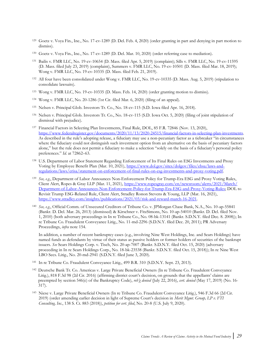- <sup>129</sup> Goetz v. Voya Fin., Inc., No. 17-cv-1289 (D. Del. Feb. 4, 2020) (order granting in part and denying in part motion to dismiss).
- <sup>130</sup> Goetz v. Voya Fin., Inc., No. 17-cv-1289 (D. Del. Mar. 10, 2020) (order referring case to mediation).
- <sup>131</sup> Bailis v. FMR LLC, No. 19-cv-10654 (D. Mass. filed Apr. 5, 2019) (complaint); Sills v. FMR LLC, No. 19-cv-11595 (D. Mass. filed July 23, 2019) (complaint), Summers v. FMR LLC, No. 19-cv-10501 (D. Mass. filed Mar. 18, 2019); Wong v. FMR LLC, No. 19-cv-10335 (D. Mass. filed Feb. 21, 2019).
- <sup>132</sup> All four have been consolidated under Wong v. FMR LLC, No. 19-cv-10335 (D. Mass. Aug. 5, 2019) (stipulation to consolidate lawsuits).
- <sup>133</sup> Wong v. FMR LLC, No. 19-cv-10335 (D. Mass. Feb. 14, 2020) (order granting motion to dismiss).
- <sup>134</sup> Wong v. FMR LLC, No. 20-1286 (1st Cir. filed Mar. 6, 2020) (filing of an appeal).
- <sup>135</sup> Nelsen v. Principal Glob. Investors Tr. Co., No. 18-cv-115 (S.D. Iowa filed Apr. 16, 2018).
- <sup>136</sup> Nelsen v. Principal Glob. Investors Tr. Co., No. 18-cv-115 (S.D. Iowa Oct. 5, 2020) (filing of joint stipulation of dismissal with prejudice).
- <sup>137</sup> Financial Factors in Selecting Plan Investments, Final Rule, DOL, 85 F.R. 72846 (Nov. 13, 2020), [https://www.federalregister.gov/documents/2020/11/13/2020-24515/financial-factors-in-selecting-plan-investments.](https://www.federalregister.gov/documents/2020/11/13/2020-24515/financial-factors-in-selecting-plan-investments) As described in the rule's adopting release, a fiduciary may use a non-pecuniary factor as a tiebreaker "in circumstances where the fiduciary could not distinguish such investment option from an alternative on the basis of pecuniary factors alone," but the rule does not permit a fiduciary to make a selection "solely on the basis of a fiduciary's personal policy preferences." *Id.* at 72862–63.
- <sup>138</sup> U.S. Department of Labor Statement Regarding Enforcement of Its Final Rules on ESG Investments and Proxy Voting by Employee Benefit Plan (Mar. 10, 2021), [https://www.dol.gov/sites/dolgov/files/ebsa/laws-and](https://www.dol.gov/sites/dolgov/files/ebsa/laws-and-regulations/laws/erisa/statement-on-enforcement-of-final-rules-on-esg-investments-and-proxy-voting.pdf)[regulations/laws/erisa/statement-on-enforcement-of-final-rules-on-esg-investments-and-proxy-voting.pdf.](https://www.dol.gov/sites/dolgov/files/ebsa/laws-and-regulations/laws/erisa/statement-on-enforcement-of-final-rules-on-esg-investments-and-proxy-voting.pdf)
- <sup>139</sup> *See, e.g.*, Department of Labor Announces Non-Enforcement Policy for Trump-Era ESG and Proxy Voting Rules, Client Alert, Ropes & Gray LLP (Mar. 11, 2021), [https://www.ropesgray.com/en/newsroom/alerts/2021/March/](https://www.ropesgray.com/en/newsroom/alerts/2021/March/‌Department-of-Labor-Announces-Non-Enforcement-Policy-for-Trump-Era-ESG-and-Proxy-Voting-Rules) [Department-of-Labor-Announces-Non-Enforcement-Policy-for-Trump-Era-ESG-and-Proxy-Voting-Rules;](https://www.ropesgray.com/en/newsroom/alerts/2021/March/‌Department-of-Labor-Announces-Non-Enforcement-Policy-for-Trump-Era-ESG-and-Proxy-Voting-Rules) DOL to Revisit Trump ESG-Related Rule, Client Alert, Stradley Ronon Stevens & Young, LLP (Mar. 16, 2021), [https://www.stradley.com/insights/publications/2021/03/risk-and-reward-march-16-2021.](https://www.stradley.com/insights/publications/2021/03/risk-and-reward-march-16-2021)
- <sup>140</sup> *See, e.g.*, Official Comm. of Unsecured Creditors of Tribune Co. v. JPMorgan Chase Bank, N.A., No. 10-ap-55841 (Bankr. D. Del. Mar. 26, 2013) (dismissed) & Kirschner v. FitzSimons, No. 10-ap-54010 (Bankr. D. Del. filed Nov. 1, 2010) (both adversary proceedings in In re Tribune Co., No. 08-bk-13141 (Bankr. S.D.N.Y. filed Dec. 8. 2008)); In re Tribune Co. Fraudulent Conveyance Litig., No. 11-md-2296 (S.D.N.Y. filed Dec. 20, 2011); PR Adversary Proceedings, *infra* note [154.](#page-18-0)

In addition, a number of recent bankruptcy cases (e.g., involving Nine West Holdings, Inc. and Sears Holdings) have named funds as defendants by virtue of their status as passive holders or former holders of securities of the bankrupt issuers. *See* Sears Holdings Corp. v. Tisch, No. 20-ap-7007 (Bankr. S.D.N.Y. filed Oct. 15, 2020) (adversary proceeding in In re Sears Holdings Corp., No. 18-bk-23538 (Bankr. S.D.N.Y. filed Oct. 15, 2018)); In re Nine West LBO Secs. Litig., No. 20-md-2941 (S.D.N.Y. filed June 3, 2020).

- <sup>141</sup> In re Tribune Co. Fraudulent Conveyance Litig., 499 B.R. 310 (S.D.N.Y. Sept. 23, 2013).
- <sup>142</sup> Deutsche Bank Tr. Co. Americas v. Large Private Beneficial Owners (In re Tribune Co. Fraudulent Conveyance Litig.), 818 F.3d 98 (2d Cir. 2016) (affirming district court's decision, on grounds that the appellants' claims are preempted by section 546(e) of the Bankruptcy Code), *reh'g denied* (July 22, 2016), *cert. denied* (May 17, 2019) (No. 16- 317).
- <sup>143</sup> Niese v. Large Private Beneficial Owners (In re Tribune Co. Fraudulent Conveyance Litig.), 946 F.3d 66 (2d Cir. 2019) (order amending earlier decision in light of Supreme Court's decision in *Merit Mgmt. Group, LP v. FTI Consulting, Inc.*, 138 S. Ct. 883 (2018)), *petition for cert. filed*, No. 20-8 (U.S. July 9, 2020).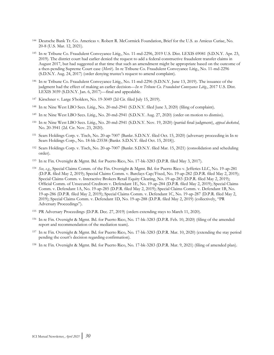- <sup>144</sup> Deutsche Bank Tr. Co. Americas v. Robert R. McCormick Foundation, Brief for the U.S. as Amicus Curiae, No. 20-8 (U.S. Mar. 12, 2021).
- <sup>145</sup> In re Tribune Co. Fraudulent Conveyance Litig., No. 11-md-2296, 2019 U.S. Dist. LEXIS 69081 (S.D.N.Y. Apr. 23, 2019). The district court had earlier denied the request to add a federal constructive fraudulent transfer claims in August 2017, but had suggested at that time that such an amendment might be appropriate based on the outcome of a then-pending Supreme Court case (*Merit*). In re Tribune Co. Fraudulent Conveyance Litig., No. 11-md-2296 (S.D.N.Y. Aug. 24, 2017) (order denying trustee's request to amend complaint).
- <sup>146</sup> In re Tribune Co. Fraudulent Conveyance Litig., No. 11-md-2296 (S.D.N.Y. June 13, 2019). The issuance of the judgment had the effect of making an earlier decision—*In re Tribune Co. Fraudulent Conveyance Litig.*, 2017 U.S. Dist. LEXIS 3039 (S.D.N.Y. Jan. 6, 2017)—final and appealable.
- <sup>147</sup> Kirschner v. Large S'holders, No. 19-3049 (2d Cir. filed July 15, 2019).
- <sup>148</sup> In re Nine West LBO Secs. Litig., No. 20-md-2941 (S.D.N.Y. filed June 3, 2020) (filing of complaint).
- <sup>149</sup> In re Nine West LBO Secs. Litig., No. 20-md-2941 (S.D.N.Y. Aug. 27, 2020) (order on motion to dismiss).
- <sup>150</sup> In re Nine West LBO Secs. Litig., No. 20-md-2941 (S.D.N.Y. Nov. 19, 2020) (partial final judgment), *appeal docketed*, No. 20-3941 (2d. Cir. Nov. 23, 2020).
- <sup>151</sup> Sears Holdings Corp. v. Tisch, No. 20-ap-7007 (Bankr. S.D.N.Y. filed Oct. 15, 2020) (adversary proceeding in In re Sears Holdings Corp., No. 18-bk-23538 (Bankr. S.D.N.Y. filed Oct. 15, 2018)).
- <sup>152</sup> Sears Holdings Corp. v. Tisch, No. 20-ap-7007 (Bankr. S.D.N.Y. filed Mar. 15, 2021) (consolidation and scheduling order).
- <sup>153</sup> In re Fin. Oversight & Mgmt. Bd. for Puerto Rico, No. 17-bk-3283 (D.P.R. filed May 3, 2017).
- <sup>154</sup> *See, e.g.*, Special Claims Comm. of the Fin. Oversight & Mgmt. Bd. for Puerto Rico v. Jefferies LLC, No. 19-ap-281 (D.P.R. filed May 2, 2019); Special Claims Comm. v. Barclays Cap/Fixed, No. 19-ap-282 (D.P.R. filed May 2, 2019); Special Claims Comm. v. Interactive Brokers Retail Equity Clearing, No. 19-ap-283 (D.P.R. filed May 2, 2019); Official Comm. of Unsecured Creditors v. Defendant 1E, No. 19-ap-284 (D.P.R. filed May 2, 2019); Special Claims Comm. v. Defendant 1A, No. 19-ap-285 (D.P.R. filed May 2, 2019); Special Claims Comm. v. Defendant 1B, No. 19-ap-286 (D.P.R. filed May 2, 2019); Special Claims Comm. v. Defendant 1C, No. 19-ap-287 (D.P.R. filed May 2, 2019); Special Claims Comm. v. Defendant 1D, No. 19-ap-288 (D.P.R. filed May 2, 2019) (collectively, "PR Adversary Proceedings").
- <sup>155</sup> PR Adversary Proceedings (D.P.R. Dec. 27, 2019) (orders extending stays to March 11, 2020).
- <sup>156</sup> In re Fin. Oversight & Mgmt. Bd. for Puerto Rico, No. 17-bk-3283 (D.P.R. Feb. 10, 2020) (filing of the amended report and recommendation of the mediation team).
- <sup>157</sup> In re Fin. Oversight & Mgmt. Bd. for Puerto Rico, No. 17-bk-3283 (D.P.R. Mar. 10, 2020) (extending the stay period pending the court's decision regarding confirmation).
- <sup>158</sup> In re Fin. Oversight & Mgmt. Bd. for Puerto Rico, No. 17-bk-3283 (D.P.R. Mar. 9, 2021) (filing of amended plan).